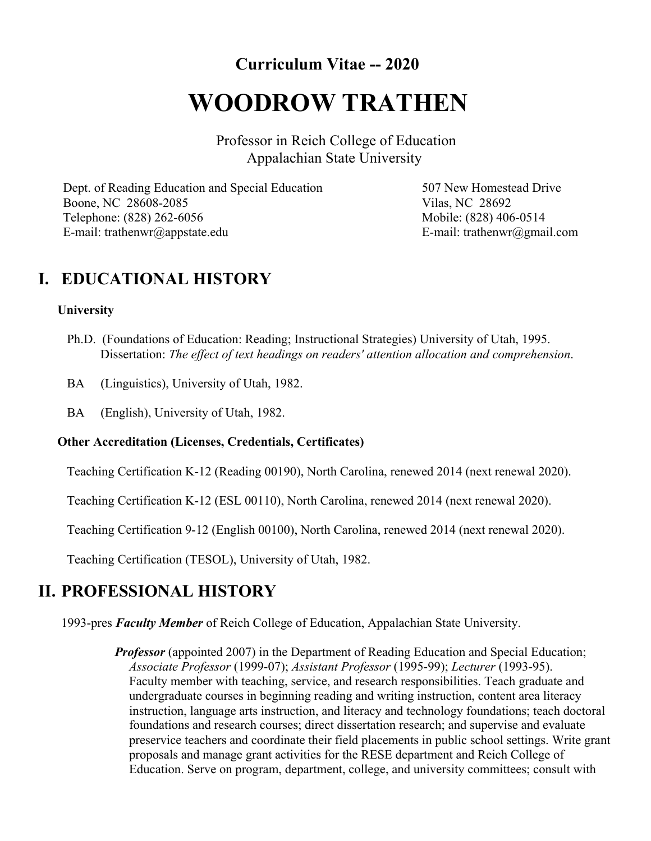**Curriculum Vitae -- 2020**

# **WOODROW TRATHEN**

Professor in Reich College of Education Appalachian State University

Dept. of Reading Education and Special Education Boone, NC 28608-2085 Telephone: (828) 262-6056 E-mail: trathenwr@appstate.edu

507 New Homestead Drive Vilas, NC 28692 Mobile: (828) 406-0514 E-mail: trathenwr@gmail.com

## **I. EDUCATIONAL HISTORY**

#### **University**

- Ph.D. (Foundations of Education: Reading; Instructional Strategies) University of Utah, 1995. Dissertation: *The effect of text headings on readers' attention allocation and comprehension*.
- BA (Linguistics), University of Utah, 1982.
- BA (English), University of Utah, 1982.

#### **Other Accreditation (Licenses, Credentials, Certificates)**

Teaching Certification K-12 (Reading 00190), North Carolina, renewed 2014 (next renewal 2020).

Teaching Certification K-12 (ESL 00110), North Carolina, renewed 2014 (next renewal 2020).

Teaching Certification 9-12 (English 00100), North Carolina, renewed 2014 (next renewal 2020).

Teaching Certification (TESOL), University of Utah, 1982.

### **II. PROFESSIONAL HISTORY**

1993-pres *Faculty Member* of Reich College of Education, Appalachian State University.

*Professor* (appointed 2007) in the Department of Reading Education and Special Education; *Associate Professor* (1999-07); *Assistant Professor* (1995-99); *Lecturer* (1993-95). Faculty member with teaching, service, and research responsibilities. Teach graduate and undergraduate courses in beginning reading and writing instruction, content area literacy instruction, language arts instruction, and literacy and technology foundations; teach doctoral foundations and research courses; direct dissertation research; and supervise and evaluate preservice teachers and coordinate their field placements in public school settings. Write grant proposals and manage grant activities for the RESE department and Reich College of Education. Serve on program, department, college, and university committees; consult with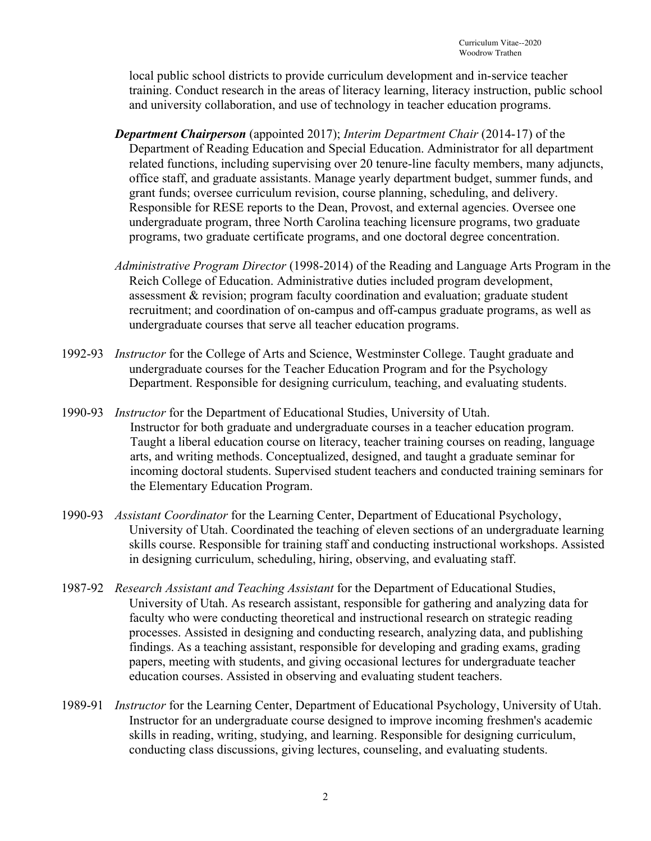local public school districts to provide curriculum development and in-service teacher training. Conduct research in the areas of literacy learning, literacy instruction, public school and university collaboration, and use of technology in teacher education programs.

- *Department Chairperson* (appointed 2017); *Interim Department Chair* (2014-17) of the Department of Reading Education and Special Education. Administrator for all department related functions, including supervising over 20 tenure-line faculty members, many adjuncts, office staff, and graduate assistants. Manage yearly department budget, summer funds, and grant funds; oversee curriculum revision, course planning, scheduling, and delivery. Responsible for RESE reports to the Dean, Provost, and external agencies. Oversee one undergraduate program, three North Carolina teaching licensure programs, two graduate programs, two graduate certificate programs, and one doctoral degree concentration.
- *Administrative Program Director* (1998-2014) of the Reading and Language Arts Program in the Reich College of Education. Administrative duties included program development, assessment & revision; program faculty coordination and evaluation; graduate student recruitment; and coordination of on-campus and off-campus graduate programs, as well as undergraduate courses that serve all teacher education programs.
- 1992-93 *Instructor* for the College of Arts and Science, Westminster College. Taught graduate and undergraduate courses for the Teacher Education Program and for the Psychology Department. Responsible for designing curriculum, teaching, and evaluating students.
- 1990-93 *Instructor* for the Department of Educational Studies, University of Utah. Instructor for both graduate and undergraduate courses in a teacher education program. Taught a liberal education course on literacy, teacher training courses on reading, language arts, and writing methods. Conceptualized, designed, and taught a graduate seminar for incoming doctoral students. Supervised student teachers and conducted training seminars for the Elementary Education Program.
- 1990-93 *Assistant Coordinator* for the Learning Center, Department of Educational Psychology, University of Utah. Coordinated the teaching of eleven sections of an undergraduate learning skills course. Responsible for training staff and conducting instructional workshops. Assisted in designing curriculum, scheduling, hiring, observing, and evaluating staff.
- 1987-92 *Research Assistant and Teaching Assistant* for the Department of Educational Studies, University of Utah. As research assistant, responsible for gathering and analyzing data for faculty who were conducting theoretical and instructional research on strategic reading processes. Assisted in designing and conducting research, analyzing data, and publishing findings. As a teaching assistant, responsible for developing and grading exams, grading papers, meeting with students, and giving occasional lectures for undergraduate teacher education courses. Assisted in observing and evaluating student teachers.
- 1989-91 *Instructor* for the Learning Center, Department of Educational Psychology, University of Utah. Instructor for an undergraduate course designed to improve incoming freshmen's academic skills in reading, writing, studying, and learning. Responsible for designing curriculum, conducting class discussions, giving lectures, counseling, and evaluating students.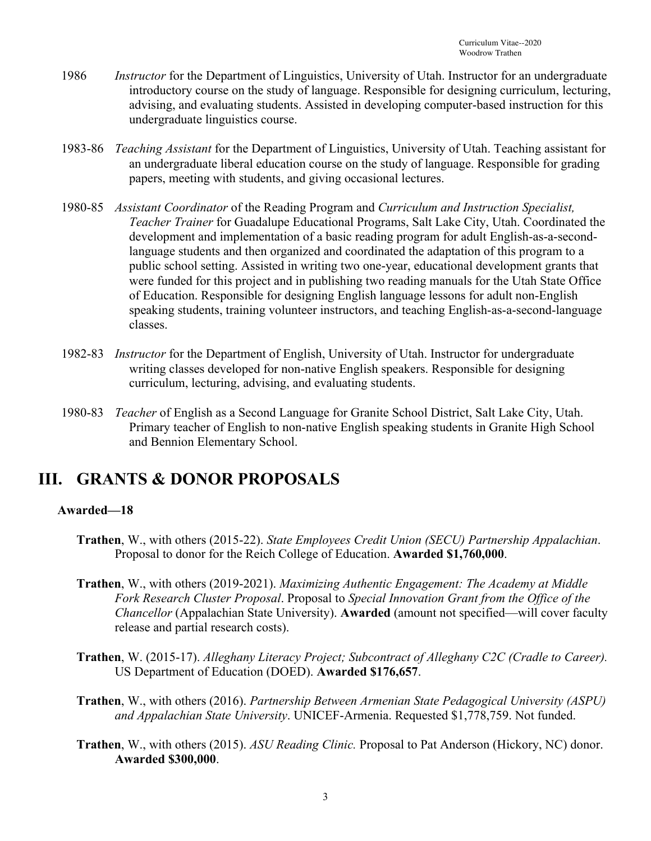- 1986 *Instructor* for the Department of Linguistics, University of Utah. Instructor for an undergraduate introductory course on the study of language. Responsible for designing curriculum, lecturing, advising, and evaluating students. Assisted in developing computer-based instruction for this undergraduate linguistics course.
- 1983-86 *Teaching Assistant* for the Department of Linguistics, University of Utah. Teaching assistant for an undergraduate liberal education course on the study of language. Responsible for grading papers, meeting with students, and giving occasional lectures.
- 1980-85 *Assistant Coordinator* of the Reading Program and *Curriculum and Instruction Specialist, Teacher Trainer* for Guadalupe Educational Programs, Salt Lake City, Utah. Coordinated the development and implementation of a basic reading program for adult English-as-a-secondlanguage students and then organized and coordinated the adaptation of this program to a public school setting. Assisted in writing two one-year, educational development grants that were funded for this project and in publishing two reading manuals for the Utah State Office of Education. Responsible for designing English language lessons for adult non-English speaking students, training volunteer instructors, and teaching English-as-a-second-language classes.
- 1982-83 *Instructor* for the Department of English, University of Utah. Instructor for undergraduate writing classes developed for non-native English speakers. Responsible for designing curriculum, lecturing, advising, and evaluating students.
- 1980-83 *Teacher* of English as a Second Language for Granite School District, Salt Lake City, Utah. Primary teacher of English to non-native English speaking students in Granite High School and Bennion Elementary School.

# **III. GRANTS & DONOR PROPOSALS**

#### **Awarded—18**

- **Trathen**, W., with others (2015-22). *State Employees Credit Union (SECU) Partnership Appalachian*. Proposal to donor for the Reich College of Education. **Awarded \$1,760,000**.
- **Trathen**, W., with others (2019-2021). *Maximizing Authentic Engagement: The Academy at Middle Fork Research Cluster Proposal*. Proposal to *Special Innovation Grant from the Office of the Chancellor* (Appalachian State University). **Awarded** (amount not specified—will cover faculty release and partial research costs).
- **Trathen**, W. (2015-17). *Alleghany Literacy Project; Subcontract of Alleghany C2C (Cradle to Career).* US Department of Education (DOED). **Awarded \$176,657**.
- **Trathen**, W., with others (2016). *Partnership Between Armenian State Pedagogical University (ASPU) and Appalachian State University*. UNICEF-Armenia. Requested \$1,778,759. Not funded.
- **Trathen**, W., with others (2015). *ASU Reading Clinic.* Proposal to Pat Anderson (Hickory, NC) donor. **Awarded \$300,000**.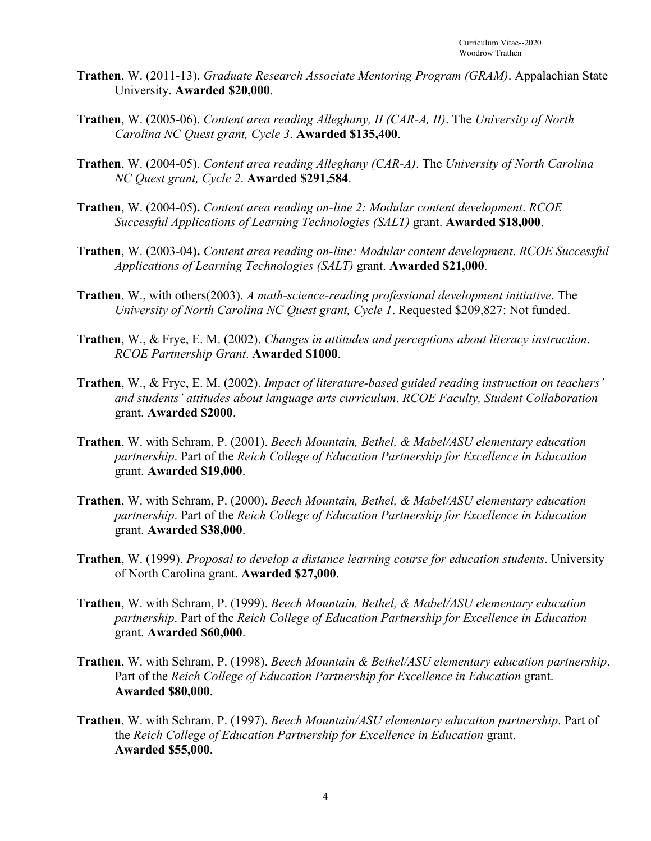- **Trathen**, W. (2011-13). *Graduate Research Associate Mentoring Program (GRAM)*. Appalachian State University. **Awarded \$20,000**.
- **Trathen**, W. (2005-06). *Content area reading Alleghany, II (CAR-A, II)*. The *University of North Carolina NC Quest grant, Cycle 3*. **Awarded \$135,400**.
- **Trathen**, W. (2004-05). *Content area reading Alleghany (CAR-A)*. The *University of North Carolina NC Quest grant, Cycle 2*. **Awarded \$291,584**.
- **Trathen**, W. (2004-05**).** *Content area reading on-line 2: Modular content development*. *RCOE Successful Applications of Learning Technologies (SALT)* grant. **Awarded \$18,000**.
- **Trathen**, W. (2003-04**).** *Content area reading on-line: Modular content development*. *RCOE Successful Applications of Learning Technologies (SALT)* grant. **Awarded \$21,000**.
- **Trathen**, W., with others(2003). *A math-science-reading professional development initiative*. The *University of North Carolina NC Quest grant, Cycle 1*. Requested \$209,827: Not funded.
- **Trathen**, W., & Frye, E. M. (2002). *Changes in attitudes and perceptions about literacy instruction*. *RCOE Partnership Grant*. **Awarded \$1000**.
- **Trathen**, W., & Frye, E. M. (2002). *Impact of literature-based guided reading instruction on teachers' and students' attitudes about language arts curriculum*. *RCOE Faculty, Student Collaboration* grant. **Awarded \$2000**.
- **Trathen**, W. with Schram, P. (2001). *Beech Mountain, Bethel, & Mabel/ASU elementary education partnership*. Part of the *Reich College of Education Partnership for Excellence in Education* grant. **Awarded \$19,000**.
- **Trathen**, W. with Schram, P. (2000). *Beech Mountain, Bethel, & Mabel/ASU elementary education partnership*. Part of the *Reich College of Education Partnership for Excellence in Education* grant. **Awarded \$38,000**.
- **Trathen**, W. (1999). *Proposal to develop a distance learning course for education students*. University of North Carolina grant. **Awarded \$27,000**.
- **Trathen**, W. with Schram, P. (1999). *Beech Mountain, Bethel, & Mabel/ASU elementary education partnership*. Part of the *Reich College of Education Partnership for Excellence in Education* grant. **Awarded \$60,000**.
- **Trathen**, W. with Schram, P. (1998). *Beech Mountain & Bethel/ASU elementary education partnership*. Part of the *Reich College of Education Partnership for Excellence in Education* grant. **Awarded \$80,000**.
- **Trathen**, W. with Schram, P. (1997). *Beech Mountain/ASU elementary education partnership*. Part of the *Reich College of Education Partnership for Excellence in Education* grant. **Awarded \$55,000**.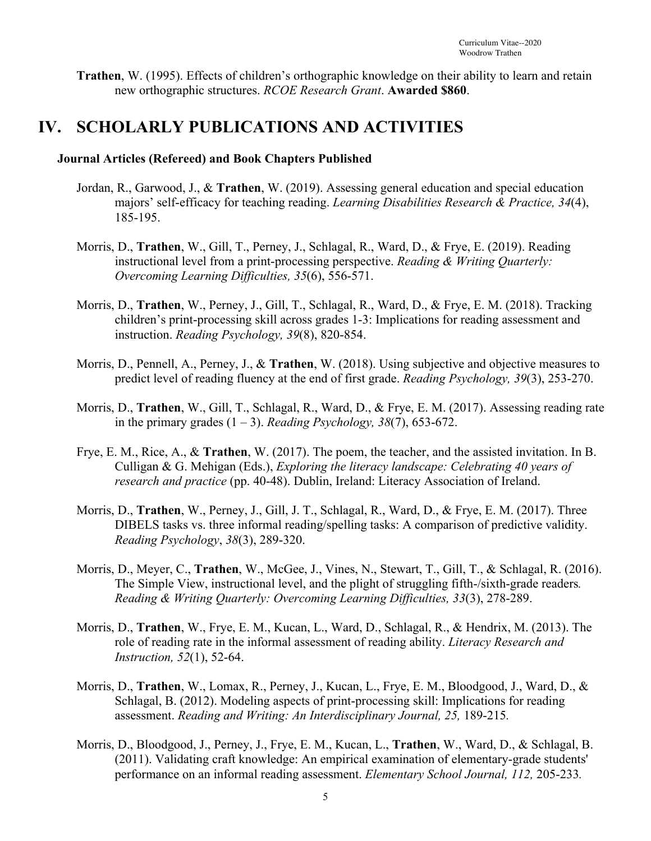**Trathen**, W. (1995). Effects of children's orthographic knowledge on their ability to learn and retain new orthographic structures. *RCOE Research Grant*. **Awarded \$860**.

### **IV. SCHOLARLY PUBLICATIONS AND ACTIVITIES**

#### **Journal Articles (Refereed) and Book Chapters Published**

- Jordan, R., Garwood, J., & **Trathen**, W. (2019). Assessing general education and special education majors' self-efficacy for teaching reading. *Learning Disabilities Research & Practice, 34*(4), 185-195.
- Morris, D., **Trathen**, W., Gill, T., Perney, J., Schlagal, R., Ward, D., & Frye, E. (2019). Reading instructional level from a print-processing perspective. *Reading & Writing Quarterly: Overcoming Learning Difficulties, 35*(6), 556-571.
- Morris, D., **Trathen**, W., Perney, J., Gill, T., Schlagal, R., Ward, D., & Frye, E. M. (2018). Tracking children's print-processing skill across grades 1-3: Implications for reading assessment and instruction. *Reading Psychology, 39*(8), 820-854.
- Morris, D., Pennell, A., Perney, J., & **Trathen**, W. (2018). Using subjective and objective measures to predict level of reading fluency at the end of first grade. *Reading Psychology, 39*(3), 253-270.
- Morris, D., **Trathen**, W., Gill, T., Schlagal, R., Ward, D., & Frye, E. M. (2017). Assessing reading rate in the primary grades  $(1 – 3)$ . *Reading Psychology, 38(7), 653-672.*
- Frye, E. M., Rice, A., & **Trathen**, W. (2017). The poem, the teacher, and the assisted invitation. In B. Culligan & G. Mehigan (Eds.), *Exploring the literacy landscape: Celebrating 40 years of research and practice* (pp. 40-48). Dublin, Ireland: Literacy Association of Ireland.
- Morris, D., **Trathen**, W., Perney, J., Gill, J. T., Schlagal, R., Ward, D., & Frye, E. M. (2017). Three DIBELS tasks vs. three informal reading/spelling tasks: A comparison of predictive validity. *Reading Psychology*, *38*(3), 289-320.
- Morris, D., Meyer, C., **Trathen**, W., McGee, J., Vines, N., Stewart, T., Gill, T., & Schlagal, R. (2016). The Simple View, instructional level, and the plight of struggling fifth-/sixth-grade readers*. Reading & Writing Quarterly: Overcoming Learning Difficulties, 33*(3), 278-289.
- Morris, D., **Trathen**, W., Frye, E. M., Kucan, L., Ward, D., Schlagal, R., & Hendrix, M. (2013). The role of reading rate in the informal assessment of reading ability. *Literacy Research and Instruction, 52*(1), 52-64.
- Morris, D., **Trathen**, W., Lomax, R., Perney, J., Kucan, L., Frye, E. M., Bloodgood, J., Ward, D., & Schlagal, B. (2012). Modeling aspects of print-processing skill: Implications for reading assessment. *Reading and Writing: An Interdisciplinary Journal, 25, 189-215.*
- Morris, D., Bloodgood, J., Perney, J., Frye, E. M., Kucan, L., **Trathen**, W., Ward, D., & Schlagal, B. (2011). Validating craft knowledge: An empirical examination of elementary-grade students' performance on an informal reading assessment. *Elementary School Journal, 112,* 205-233*.*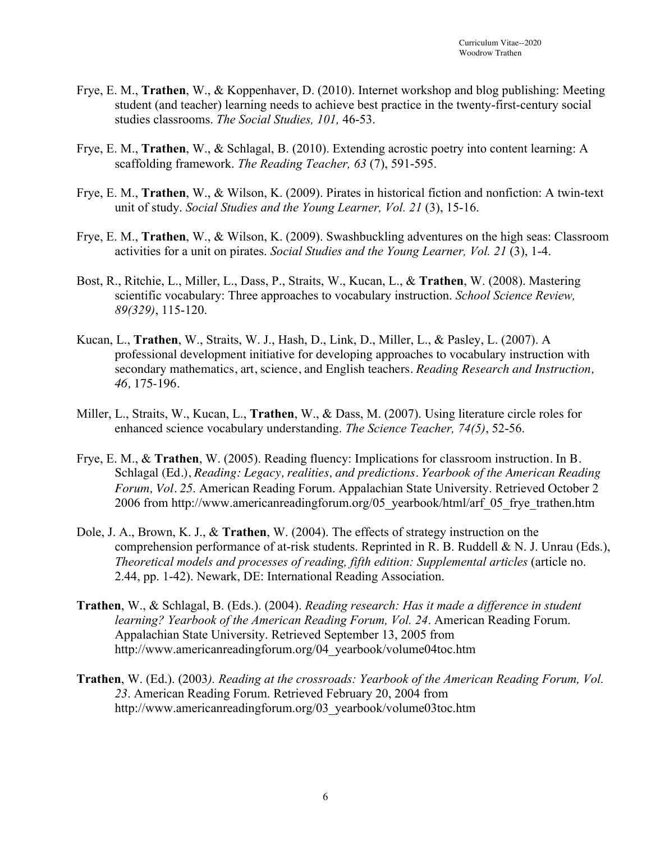- Frye, E. M., **Trathen**, W., & Koppenhaver, D. (2010). Internet workshop and blog publishing: Meeting student (and teacher) learning needs to achieve best practice in the twenty-first-century social studies classrooms. *The Social Studies, 101,* 46-53.
- Frye, E. M., **Trathen**, W., & Schlagal, B. (2010). Extending acrostic poetry into content learning: A scaffolding framework. *The Reading Teacher, 63* (7), 591-595.
- Frye, E. M., **Trathen**, W., & Wilson, K. (2009). Pirates in historical fiction and nonfiction: A twin-text unit of study. *Social Studies and the Young Learner, Vol. 21* (3), 15-16.
- Frye, E. M., **Trathen**, W., & Wilson, K. (2009). Swashbuckling adventures on the high seas: Classroom activities for a unit on pirates. *Social Studies and the Young Learner, Vol. 21* (3), 1-4.
- Bost, R., Ritchie, L., Miller, L., Dass, P., Straits, W., Kucan, L., & **Trathen**, W. (2008). Mastering scientific vocabulary: Three approaches to vocabulary instruction. *School Science Review, 89(329)*, 115-120.
- Kucan, L., **Trathen**, W., Straits, W. J., Hash, D., Link, D., Miller, L., & Pasley, L. (2007). A professional development initiative for developing approaches to vocabulary instruction with secondary mathematics, art, science, and English teachers. *Reading Research and Instruction, 46,* 175-196.
- Miller, L., Straits, W., Kucan, L., **Trathen**, W., & Dass, M. (2007). Using literature circle roles for enhanced science vocabulary understanding. *The Science Teacher, 74(5)*, 52-56.
- Frye, E. M., & **Trathen**, W. (2005). Reading fluency: Implications for classroom instruction. In B. Schlagal (Ed.), *Reading: Legacy, realities, and predictions. Yearbook of the American Reading Forum, Vol. 25*. American Reading Forum. Appalachian State University. Retrieved October 2 2006 from http://www.americanreadingforum.org/05\_yearbook/html/arf\_05\_frye\_trathen.htm
- Dole, J. A., Brown, K. J., & **Trathen**, W. (2004). The effects of strategy instruction on the comprehension performance of at-risk students. Reprinted in R. B. Ruddell & N. J. Unrau (Eds.), *Theoretical models and processes of reading, fifth edition: Supplemental articles* (article no. 2.44, pp. 1-42). Newark, DE: International Reading Association.
- **Trathen**, W., & Schlagal, B. (Eds.). (2004). *Reading research: Has it made a difference in student learning? Yearbook of the American Reading Forum, Vol. 24*. American Reading Forum. Appalachian State University. Retrieved September 13, 2005 from http://www.americanreadingforum.org/04\_yearbook/volume04toc.htm
- **Trathen**, W. (Ed.). (2003*). Reading at the crossroads: Yearbook of the American Reading Forum, Vol. 23*. American Reading Forum. Retrieved February 20, 2004 from http://www.americanreadingforum.org/03\_yearbook/volume03toc.htm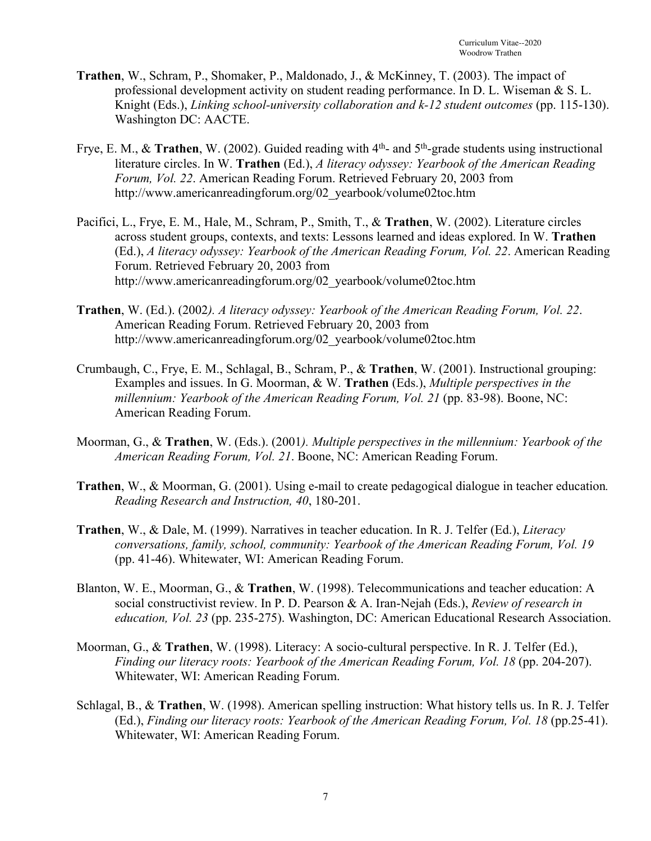- **Trathen**, W., Schram, P., Shomaker, P., Maldonado, J., & McKinney, T. (2003). The impact of professional development activity on student reading performance. In D. L. Wiseman & S. L. Knight (Eds.), *Linking school-university collaboration and k-12 student outcomes* (pp. 115-130). Washington DC: AACTE.
- Frye, E. M., & **Trathen**, W. (2002). Guided reading with 4<sup>th</sup>- and 5<sup>th</sup>-grade students using instructional literature circles. In W. **Trathen** (Ed.), *A literacy odyssey: Yearbook of the American Reading Forum, Vol. 22*. American Reading Forum. Retrieved February 20, 2003 from http://www.americanreadingforum.org/02\_yearbook/volume02toc.htm
- Pacifici, L., Frye, E. M., Hale, M., Schram, P., Smith, T., & **Trathen**, W. (2002). Literature circles across student groups, contexts, and texts: Lessons learned and ideas explored. In W. **Trathen** (Ed.), *A literacy odyssey: Yearbook of the American Reading Forum, Vol. 22*. American Reading Forum. Retrieved February 20, 2003 from http://www.americanreadingforum.org/02\_yearbook/volume02toc.htm
- **Trathen**, W. (Ed.). (2002*). A literacy odyssey: Yearbook of the American Reading Forum, Vol. 22*. American Reading Forum. Retrieved February 20, 2003 from http://www.americanreadingforum.org/02\_yearbook/volume02toc.htm
- Crumbaugh, C., Frye, E. M., Schlagal, B., Schram, P., & **Trathen**, W. (2001). Instructional grouping: Examples and issues. In G. Moorman, & W. **Trathen** (Eds.), *Multiple perspectives in the millennium: Yearbook of the American Reading Forum, Vol. 21* (pp. 83-98). Boone, NC: American Reading Forum.
- Moorman, G., & **Trathen**, W. (Eds.). (2001*). Multiple perspectives in the millennium: Yearbook of the American Reading Forum, Vol. 21*. Boone, NC: American Reading Forum.
- **Trathen**, W., & Moorman, G. (2001). Using e-mail to create pedagogical dialogue in teacher education*. Reading Research and Instruction, 40*, 180-201.
- **Trathen**, W., & Dale, M. (1999). Narratives in teacher education. In R. J. Telfer (Ed.), *Literacy conversations, family, school, community: Yearbook of the American Reading Forum, Vol. 19* (pp. 41-46). Whitewater, WI: American Reading Forum.
- Blanton, W. E., Moorman, G., & **Trathen**, W. (1998). Telecommunications and teacher education: A social constructivist review. In P. D. Pearson & A. Iran-Nejah (Eds.), *Review of research in education, Vol. 23* (pp. 235-275). Washington, DC: American Educational Research Association.
- Moorman, G., & **Trathen**, W. (1998). Literacy: A socio-cultural perspective. In R. J. Telfer (Ed.), *Finding our literacy roots: Yearbook of the American Reading Forum, Vol. 18* (pp. 204-207). Whitewater, WI: American Reading Forum.
- Schlagal, B., & **Trathen**, W. (1998). American spelling instruction: What history tells us. In R. J. Telfer (Ed.), *Finding our literacy roots: Yearbook of the American Reading Forum, Vol. 18* (pp.25-41). Whitewater, WI: American Reading Forum.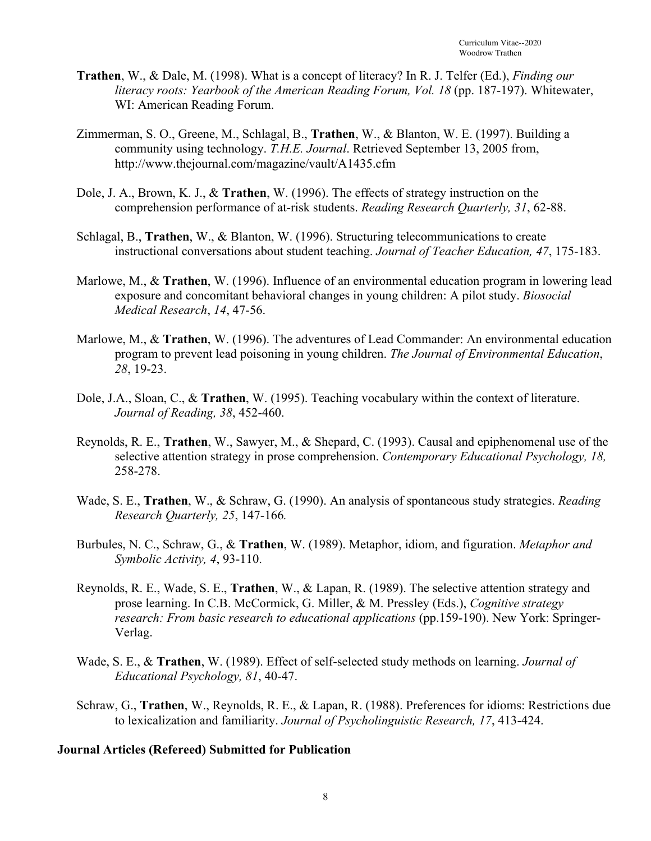- **Trathen**, W., & Dale, M. (1998). What is a concept of literacy? In R. J. Telfer (Ed.), *Finding our literacy roots: Yearbook of the American Reading Forum, Vol. 18 (pp. 187-197).* Whitewater, WI: American Reading Forum.
- Zimmerman, S. O., Greene, M., Schlagal, B., **Trathen**, W., & Blanton, W. E. (1997). Building a community using technology. *T.H.E. Journal*. Retrieved September 13, 2005 from, http://www.thejournal.com/magazine/vault/A1435.cfm
- Dole, J. A., Brown, K. J., & **Trathen**, W. (1996). The effects of strategy instruction on the comprehension performance of at-risk students. *Reading Research Quarterly, 31*, 62-88.
- Schlagal, B., **Trathen**, W., & Blanton, W. (1996). Structuring telecommunications to create instructional conversations about student teaching. *Journal of Teacher Education, 47*, 175-183.
- Marlowe, M., & **Trathen**, W. (1996). Influence of an environmental education program in lowering lead exposure and concomitant behavioral changes in young children: A pilot study. *Biosocial Medical Research*, *14*, 47-56.
- Marlowe, M., & **Trathen**, W. (1996). The adventures of Lead Commander: An environmental education program to prevent lead poisoning in young children. *The Journal of Environmental Education*, *28*, 19-23.
- Dole, J.A., Sloan, C., & **Trathen**, W. (1995). Teaching vocabulary within the context of literature. *Journal of Reading, 38*, 452-460.
- Reynolds, R. E., **Trathen**, W., Sawyer, M., & Shepard, C. (1993). Causal and epiphenomenal use of the selective attention strategy in prose comprehension. *Contemporary Educational Psychology, 18,*  258-278.
- Wade, S. E., **Trathen**, W., & Schraw, G. (1990). An analysis of spontaneous study strategies. *Reading Research Quarterly, 25*, 147-166*.*
- Burbules, N. C., Schraw, G., & **Trathen**, W. (1989). Metaphor, idiom, and figuration. *Metaphor and Symbolic Activity, 4*, 93-110.
- Reynolds, R. E., Wade, S. E., **Trathen**, W., & Lapan, R. (1989). The selective attention strategy and prose learning. In C.B. McCormick, G. Miller, & M. Pressley (Eds.), *Cognitive strategy research: From basic research to educational applications* (pp.159-190). New York: Springer-Verlag.
- Wade, S. E., & **Trathen**, W. (1989). Effect of self-selected study methods on learning. *Journal of Educational Psychology, 81*, 40-47.
- Schraw, G., **Trathen**, W., Reynolds, R. E., & Lapan, R. (1988). Preferences for idioms: Restrictions due to lexicalization and familiarity. *Journal of Psycholinguistic Research, 17*, 413-424.

#### **Journal Articles (Refereed) Submitted for Publication**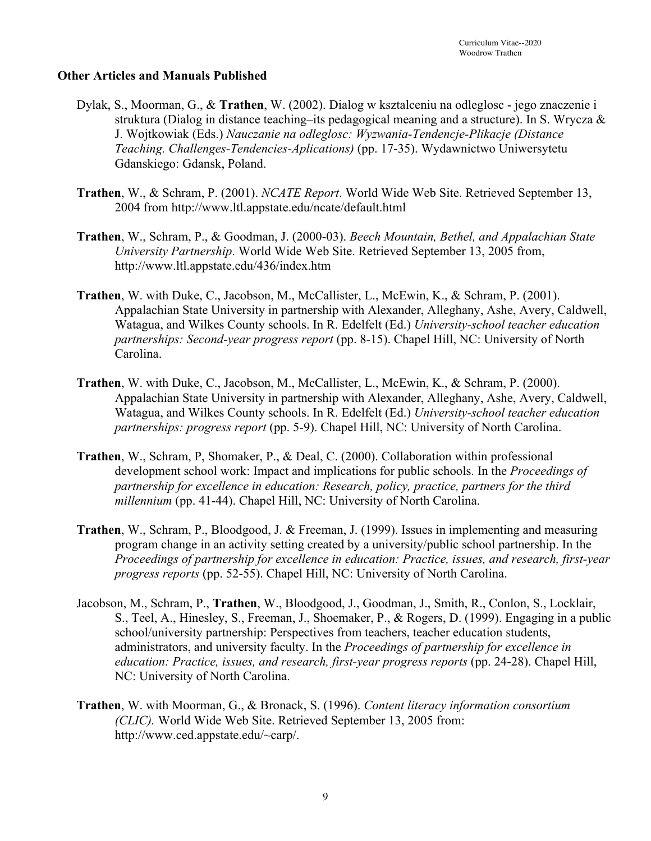#### **Other Articles and Manuals Published**

- Dylak, S., Moorman, G., & **Trathen**, W. (2002). Dialog w ksztalceniu na odleglosc jego znaczenie i struktura (Dialog in distance teaching–its pedagogical meaning and a structure). In S. Wrycza & J. Wojtkowiak (Eds.) *Nauczanie na odleglosc: Wyzwania-Tendencje-Plikacje (Distance Teaching. Challenges-Tendencies-Aplications)* (pp. 17-35). Wydawnictwo Uniwersytetu Gdanskiego: Gdansk, Poland.
- **Trathen**, W., & Schram, P. (2001). *NCATE Report*. World Wide Web Site. Retrieved September 13, 2004 from http://www.ltl.appstate.edu/ncate/default.html
- **Trathen**, W., Schram, P., & Goodman, J. (2000-03). *Beech Mountain, Bethel, and Appalachian State University Partnership*. World Wide Web Site. Retrieved September 13, 2005 from, http://www.ltl.appstate.edu/436/index.htm
- **Trathen**, W. with Duke, C., Jacobson, M., McCallister, L., McEwin, K., & Schram, P. (2001). Appalachian State University in partnership with Alexander, Alleghany, Ashe, Avery, Caldwell, Watagua, and Wilkes County schools. In R. Edelfelt (Ed.) *University-school teacher education partnerships: Second-year progress report* (pp. 8-15). Chapel Hill, NC: University of North Carolina.
- **Trathen**, W. with Duke, C., Jacobson, M., McCallister, L., McEwin, K., & Schram, P. (2000). Appalachian State University in partnership with Alexander, Alleghany, Ashe, Avery, Caldwell, Watagua, and Wilkes County schools. In R. Edelfelt (Ed.) *University-school teacher education partnerships: progress report* (pp. 5-9). Chapel Hill, NC: University of North Carolina.
- **Trathen**, W., Schram, P, Shomaker, P., & Deal, C. (2000). Collaboration within professional development school work: Impact and implications for public schools. In the *Proceedings of partnership for excellence in education: Research, policy, practice, partners for the third millennium* (pp. 41-44). Chapel Hill, NC: University of North Carolina.
- **Trathen**, W., Schram, P., Bloodgood, J. & Freeman, J. (1999). Issues in implementing and measuring program change in an activity setting created by a university/public school partnership. In the *Proceedings of partnership for excellence in education: Practice, issues, and research, first-year progress reports* (pp. 52-55). Chapel Hill, NC: University of North Carolina.
- Jacobson, M., Schram, P., **Trathen**, W., Bloodgood, J., Goodman, J., Smith, R., Conlon, S., Locklair, S., Teel, A., Hinesley, S., Freeman, J., Shoemaker, P., & Rogers, D. (1999). Engaging in a public school/university partnership: Perspectives from teachers, teacher education students, administrators, and university faculty. In the *Proceedings of partnership for excellence in education: Practice, issues, and research, first-year progress reports* (pp. 24-28). Chapel Hill, NC: University of North Carolina.
- **Trathen**, W. with Moorman, G., & Bronack, S. (1996). *Content literacy information consortium (CLIC).* World Wide Web Site. Retrieved September 13, 2005 from: http://www.ced.appstate.edu/~carp/.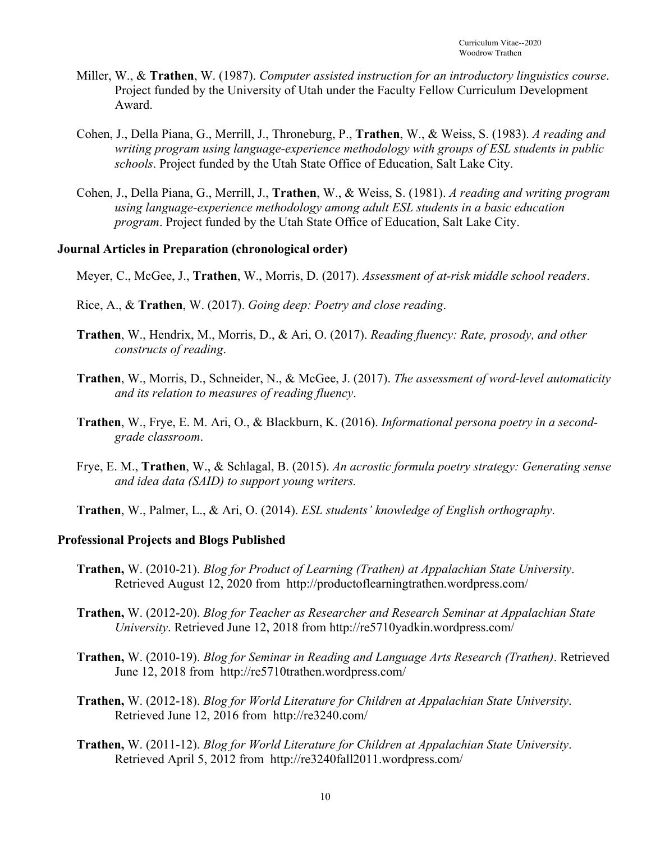- Miller, W., & **Trathen**, W. (1987). *Computer assisted instruction for an introductory linguistics course*. Project funded by the University of Utah under the Faculty Fellow Curriculum Development Award.
- Cohen, J., Della Piana, G., Merrill, J., Throneburg, P., **Trathen**, W., & Weiss, S. (1983). *A reading and writing program using language-experience methodology with groups of ESL students in public schools*. Project funded by the Utah State Office of Education, Salt Lake City.
- Cohen, J., Della Piana, G., Merrill, J., **Trathen**, W., & Weiss, S. (1981). *A reading and writing program using language-experience methodology among adult ESL students in a basic education program*. Project funded by the Utah State Office of Education, Salt Lake City.

#### **Journal Articles in Preparation (chronological order)**

- Meyer, C., McGee, J., **Trathen**, W., Morris, D. (2017). *Assessment of at-risk middle school readers*.
- Rice, A., & **Trathen**, W. (2017). *Going deep: Poetry and close reading*.
- **Trathen**, W., Hendrix, M., Morris, D., & Ari, O. (2017). *Reading fluency: Rate, prosody, and other constructs of reading*.
- **Trathen**, W., Morris, D., Schneider, N., & McGee, J. (2017). *The assessment of word-level automaticity and its relation to measures of reading fluency*.
- **Trathen**, W., Frye, E. M. Ari, O., & Blackburn, K. (2016). *Informational persona poetry in a secondgrade classroom*.
- Frye, E. M., **Trathen**, W., & Schlagal, B. (2015). *An acrostic formula poetry strategy: Generating sense and idea data (SAID) to support young writers.*
- **Trathen**, W., Palmer, L., & Ari, O. (2014). *ESL students' knowledge of English orthography*.

#### **Professional Projects and Blogs Published**

- **Trathen,** W. (2010-21). *Blog for Product of Learning (Trathen) at Appalachian State University*. Retrieved August 12, 2020 from http://productoflearningtrathen.wordpress.com/
- **Trathen,** W. (2012-20). *Blog for Teacher as Researcher and Research Seminar at Appalachian State University*. Retrieved June 12, 2018 from http://re5710yadkin.wordpress.com/
- **Trathen,** W. (2010-19). *Blog for Seminar in Reading and Language Arts Research (Trathen)*. Retrieved June 12, 2018 from http://re5710trathen.wordpress.com/
- **Trathen,** W. (2012-18). *Blog for World Literature for Children at Appalachian State University*. Retrieved June 12, 2016 from http://re3240.com/
- **Trathen,** W. (2011-12). *Blog for World Literature for Children at Appalachian State University*. Retrieved April 5, 2012 from http://re3240fall2011.wordpress.com/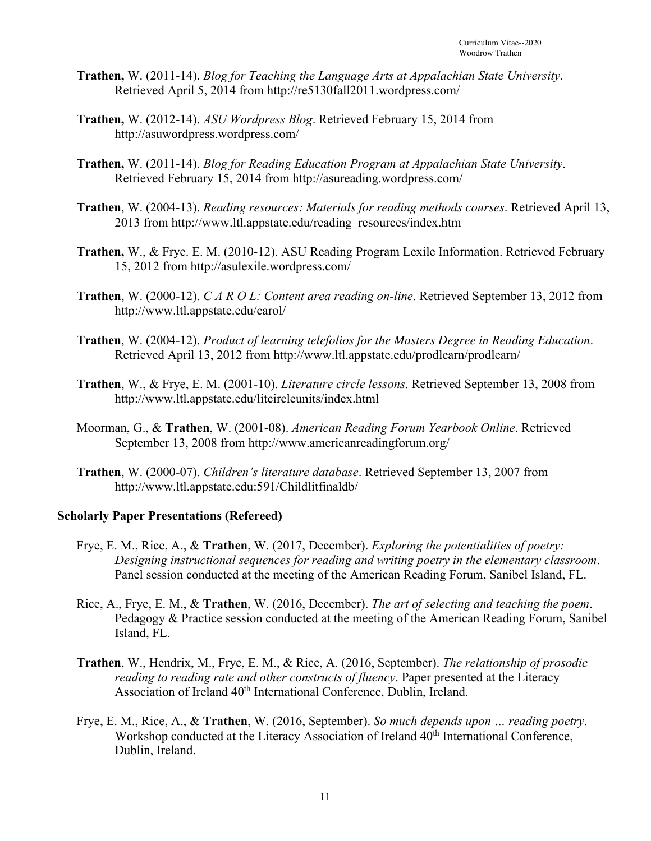- **Trathen,** W. (2011-14). *Blog for Teaching the Language Arts at Appalachian State University*. Retrieved April 5, 2014 from http://re5130fall2011.wordpress.com/
- **Trathen,** W. (2012-14). *ASU Wordpress Blog*. Retrieved February 15, 2014 from http://asuwordpress.wordpress.com/
- **Trathen,** W. (2011-14). *Blog for Reading Education Program at Appalachian State University*. Retrieved February 15, 2014 from http://asureading.wordpress.com/
- **Trathen**, W. (2004-13). *Reading resources: Materials for reading methods courses*. Retrieved April 13, 2013 from http://www.ltl.appstate.edu/reading\_resources/index.htm
- **Trathen,** W., & Frye. E. M. (2010-12). ASU Reading Program Lexile Information. Retrieved February 15, 2012 from http://asulexile.wordpress.com/
- **Trathen**, W. (2000-12). *C A R O L: Content area reading on-line*. Retrieved September 13, 2012 from http://www.ltl.appstate.edu/carol/
- **Trathen**, W. (2004-12). *Product of learning telefolios for the Masters Degree in Reading Education*. Retrieved April 13, 2012 from http://www.ltl.appstate.edu/prodlearn/prodlearn/
- **Trathen**, W., & Frye, E. M. (2001-10). *Literature circle lessons*. Retrieved September 13, 2008 from http://www.ltl.appstate.edu/litcircleunits/index.html
- Moorman, G., & **Trathen**, W. (2001-08). *American Reading Forum Yearbook Online*. Retrieved September 13, 2008 from http://www.americanreadingforum.org/
- **Trathen**, W. (2000-07). *Children's literature database*. Retrieved September 13, 2007 from http://www.ltl.appstate.edu:591/Childlitfinaldb/

#### **Scholarly Paper Presentations (Refereed)**

- Frye, E. M., Rice, A., & **Trathen**, W. (2017, December). *Exploring the potentialities of poetry: Designing instructional sequences for reading and writing poetry in the elementary classroom*. Panel session conducted at the meeting of the American Reading Forum, Sanibel Island, FL.
- Rice, A., Frye, E. M., & **Trathen**, W. (2016, December). *The art of selecting and teaching the poem*. Pedagogy & Practice session conducted at the meeting of the American Reading Forum, Sanibel Island, FL.
- **Trathen**, W., Hendrix, M., Frye, E. M., & Rice, A. (2016, September). *The relationship of prosodic reading to reading rate and other constructs of fluency*. Paper presented at the Literacy Association of Ireland 40<sup>th</sup> International Conference, Dublin, Ireland.
- Frye, E. M., Rice, A., & **Trathen**, W. (2016, September). *So much depends upon … reading poetry*. Workshop conducted at the Literacy Association of Ireland 40<sup>th</sup> International Conference, Dublin, Ireland.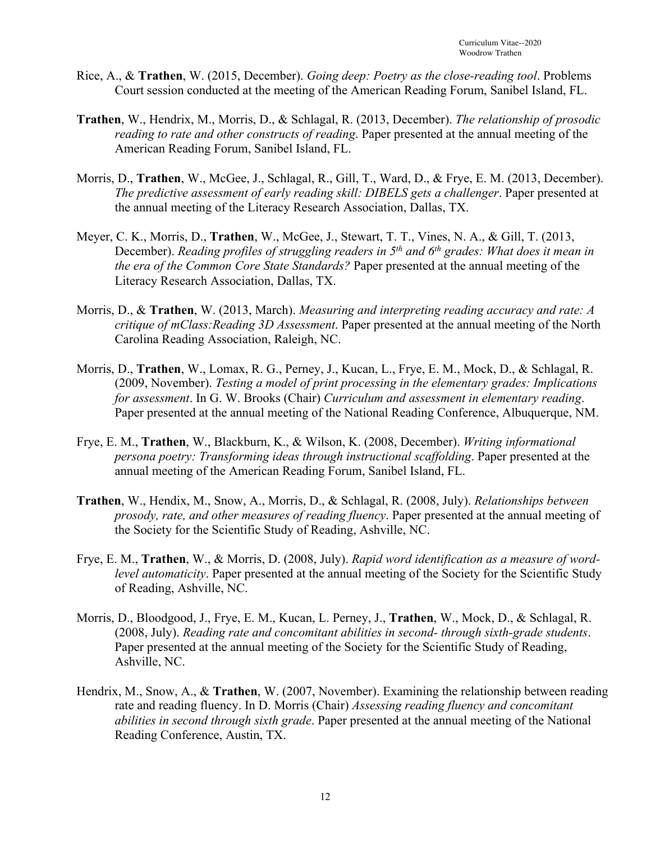- Rice, A., & **Trathen**, W. (2015, December). *Going deep: Poetry as the close-reading tool*. Problems Court session conducted at the meeting of the American Reading Forum, Sanibel Island, FL.
- **Trathen**, W., Hendrix, M., Morris, D., & Schlagal, R. (2013, December). *The relationship of prosodic reading to rate and other constructs of reading*. Paper presented at the annual meeting of the American Reading Forum, Sanibel Island, FL.
- Morris, D., **Trathen**, W., McGee, J., Schlagal, R., Gill, T., Ward, D., & Frye, E. M. (2013, December). *The predictive assessment of early reading skill: DIBELS gets a challenger*. Paper presented at the annual meeting of the Literacy Research Association, Dallas, TX.
- Meyer, C. K., Morris, D., **Trathen**, W., McGee, J., Stewart, T. T., Vines, N. A., & Gill, T. (2013, December). *Reading profiles of struggling readers in 5th and 6th grades: What does it mean in the era of the Common Core State Standards?* Paper presented at the annual meeting of the Literacy Research Association, Dallas, TX.
- Morris, D., & **Trathen**, W. (2013, March). *Measuring and interpreting reading accuracy and rate: A critique of mClass:Reading 3D Assessment*. Paper presented at the annual meeting of the North Carolina Reading Association, Raleigh, NC.
- Morris, D., **Trathen**, W., Lomax, R. G., Perney, J., Kucan, L., Frye, E. M., Mock, D., & Schlagal, R. (2009, November). *Testing a model of print processing in the elementary grades: Implications for assessment*. In G. W. Brooks (Chair) *Curriculum and assessment in elementary reading*. Paper presented at the annual meeting of the National Reading Conference, Albuquerque, NM.
- Frye, E. M., **Trathen**, W., Blackburn, K., & Wilson, K. (2008, December). *Writing informational persona poetry: Transforming ideas through instructional scaffolding*. Paper presented at the annual meeting of the American Reading Forum, Sanibel Island, FL.
- **Trathen**, W., Hendix, M., Snow, A., Morris, D., & Schlagal, R. (2008, July). *Relationships between prosody, rate, and other measures of reading fluency*. Paper presented at the annual meeting of the Society for the Scientific Study of Reading, Ashville, NC.
- Frye, E. M., **Trathen**, W., & Morris, D. (2008, July). *Rapid word identification as a measure of wordlevel automaticity*. Paper presented at the annual meeting of the Society for the Scientific Study of Reading, Ashville, NC.
- Morris, D., Bloodgood, J., Frye, E. M., Kucan, L. Perney, J., **Trathen**, W., Mock, D., & Schlagal, R. (2008, July). *Reading rate and concomitant abilities in second- through sixth-grade students*. Paper presented at the annual meeting of the Society for the Scientific Study of Reading, Ashville, NC.
- Hendrix, M., Snow, A., & **Trathen**, W. (2007, November). Examining the relationship between reading rate and reading fluency. In D. Morris (Chair) *Assessing reading fluency and concomitant abilities in second through sixth grade*. Paper presented at the annual meeting of the National Reading Conference, Austin, TX.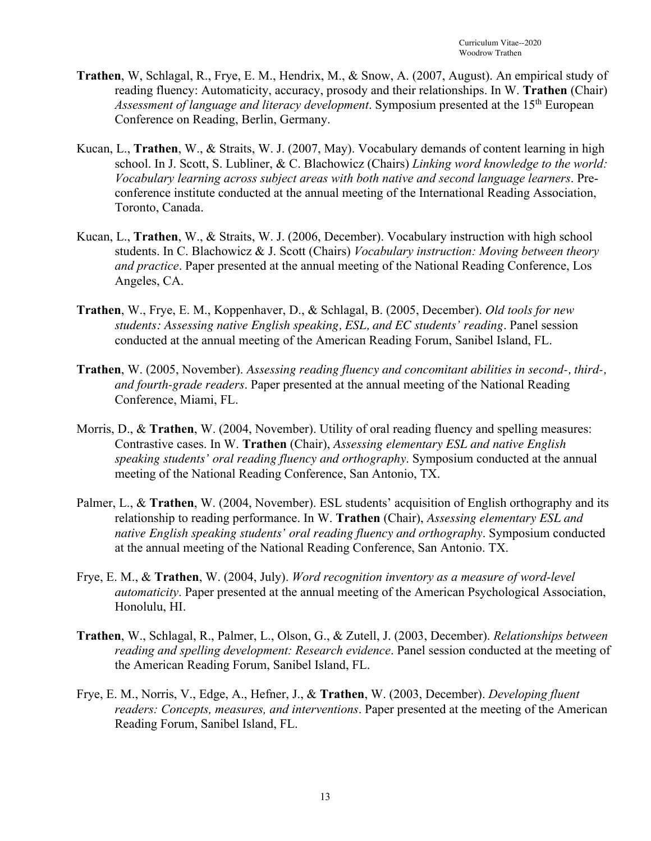- **Trathen**, W, Schlagal, R., Frye, E. M., Hendrix, M., & Snow, A. (2007, August). An empirical study of reading fluency: Automaticity, accuracy, prosody and their relationships. In W. **Trathen** (Chair) *Assessment of language and literacy development*. Symposium presented at the 15<sup>th</sup> European Conference on Reading, Berlin, Germany.
- Kucan, L., **Trathen**, W., & Straits, W. J. (2007, May). Vocabulary demands of content learning in high school. In J. Scott, S. Lubliner, & C. Blachowicz (Chairs) *Linking word knowledge to the world: Vocabulary learning across subject areas with both native and second language learners*. Preconference institute conducted at the annual meeting of the International Reading Association, Toronto, Canada.
- Kucan, L., **Trathen**, W., & Straits, W. J. (2006, December). Vocabulary instruction with high school students. In C. Blachowicz & J. Scott (Chairs) *Vocabulary instruction: Moving between theory and practice*. Paper presented at the annual meeting of the National Reading Conference, Los Angeles, CA.
- **Trathen**, W., Frye, E. M., Koppenhaver, D., & Schlagal, B. (2005, December). *Old tools for new students: Assessing native English speaking, ESL, and EC students' reading*. Panel session conducted at the annual meeting of the American Reading Forum, Sanibel Island, FL.
- **Trathen**, W. (2005, November). *Assessing reading fluency and concomitant abilities in second-, third-, and fourth-grade readers*. Paper presented at the annual meeting of the National Reading Conference, Miami, FL.
- Morris, D., & **Trathen**, W. (2004, November). Utility of oral reading fluency and spelling measures: Contrastive cases. In W. **Trathen** (Chair), *Assessing elementary ESL and native English speaking students' oral reading fluency and orthography*. Symposium conducted at the annual meeting of the National Reading Conference, San Antonio, TX.
- Palmer, L., & **Trathen**, W. (2004, November). ESL students' acquisition of English orthography and its relationship to reading performance. In W. **Trathen** (Chair), *Assessing elementary ESL and native English speaking students' oral reading fluency and orthography*. Symposium conducted at the annual meeting of the National Reading Conference, San Antonio. TX.
- Frye, E. M., & **Trathen**, W. (2004, July). *Word recognition inventory as a measure of word-level automaticity*. Paper presented at the annual meeting of the American Psychological Association, Honolulu, HI.
- **Trathen**, W., Schlagal, R., Palmer, L., Olson, G., & Zutell, J. (2003, December). *Relationships between reading and spelling development: Research evidence*. Panel session conducted at the meeting of the American Reading Forum, Sanibel Island, FL.
- Frye, E. M., Norris, V., Edge, A., Hefner, J., & **Trathen**, W. (2003, December). *Developing fluent readers: Concepts, measures, and interventions*. Paper presented at the meeting of the American Reading Forum, Sanibel Island, FL.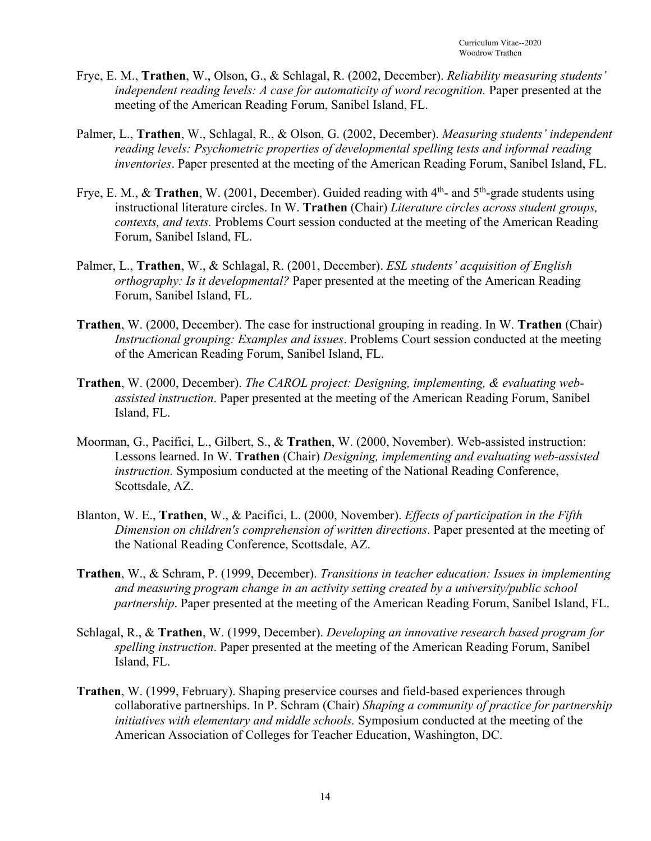- Frye, E. M., **Trathen**, W., Olson, G., & Schlagal, R. (2002, December). *Reliability measuring students' independent reading levels: A case for automaticity of word recognition.* Paper presented at the meeting of the American Reading Forum, Sanibel Island, FL.
- Palmer, L., **Trathen**, W., Schlagal, R., & Olson, G. (2002, December). *Measuring students' independent reading levels: Psychometric properties of developmental spelling tests and informal reading inventories*. Paper presented at the meeting of the American Reading Forum, Sanibel Island, FL.
- Frye, E. M., & **Trathen**, W. (2001, December). Guided reading with 4<sup>th</sup>- and 5<sup>th</sup>-grade students using instructional literature circles. In W. **Trathen** (Chair) *Literature circles across student groups, contexts, and texts.* Problems Court session conducted at the meeting of the American Reading Forum, Sanibel Island, FL.
- Palmer, L., **Trathen**, W., & Schlagal, R. (2001, December). *ESL students' acquisition of English orthography: Is it developmental?* Paper presented at the meeting of the American Reading Forum, Sanibel Island, FL.
- **Trathen**, W. (2000, December). The case for instructional grouping in reading. In W. **Trathen** (Chair) *Instructional grouping: Examples and issues*. Problems Court session conducted at the meeting of the American Reading Forum, Sanibel Island, FL.
- **Trathen**, W. (2000, December). *The CAROL project: Designing, implementing, & evaluating webassisted instruction*. Paper presented at the meeting of the American Reading Forum, Sanibel Island, FL.
- Moorman, G., Pacifici, L., Gilbert, S., & **Trathen**, W. (2000, November). Web-assisted instruction: Lessons learned. In W. **Trathen** (Chair) *Designing, implementing and evaluating web-assisted instruction.* Symposium conducted at the meeting of the National Reading Conference, Scottsdale, AZ.
- Blanton, W. E., **Trathen**, W., & Pacifici, L. (2000, November). *Effects of participation in the Fifth Dimension on children's comprehension of written directions*. Paper presented at the meeting of the National Reading Conference, Scottsdale, AZ.
- **Trathen**, W., & Schram, P. (1999, December). *Transitions in teacher education: Issues in implementing and measuring program change in an activity setting created by a university/public school partnership*. Paper presented at the meeting of the American Reading Forum, Sanibel Island, FL.
- Schlagal, R., & **Trathen**, W. (1999, December). *Developing an innovative research based program for spelling instruction*. Paper presented at the meeting of the American Reading Forum, Sanibel Island, FL.
- **Trathen**, W. (1999, February). Shaping preservice courses and field-based experiences through collaborative partnerships. In P. Schram (Chair) *Shaping a community of practice for partnership initiatives with elementary and middle schools.* Symposium conducted at the meeting of the American Association of Colleges for Teacher Education, Washington, DC.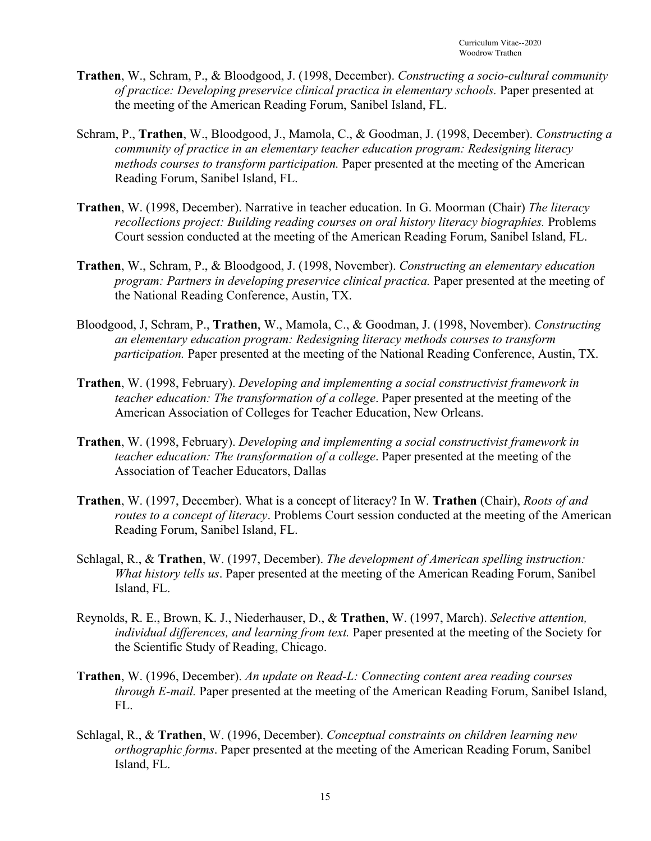- **Trathen**, W., Schram, P., & Bloodgood, J. (1998, December). *Constructing a socio-cultural community of practice: Developing preservice clinical practica in elementary schools.* Paper presented at the meeting of the American Reading Forum, Sanibel Island, FL.
- Schram, P., **Trathen**, W., Bloodgood, J., Mamola, C., & Goodman, J. (1998, December). *Constructing a community of practice in an elementary teacher education program: Redesigning literacy methods courses to transform participation.* Paper presented at the meeting of the American Reading Forum, Sanibel Island, FL.
- **Trathen**, W. (1998, December). Narrative in teacher education. In G. Moorman (Chair) *The literacy recollections project: Building reading courses on oral history literacy biographies.* Problems Court session conducted at the meeting of the American Reading Forum, Sanibel Island, FL.
- **Trathen**, W., Schram, P., & Bloodgood, J. (1998, November). *Constructing an elementary education program: Partners in developing preservice clinical practica.* Paper presented at the meeting of the National Reading Conference, Austin, TX.
- Bloodgood, J, Schram, P., **Trathen**, W., Mamola, C., & Goodman, J. (1998, November). *Constructing an elementary education program: Redesigning literacy methods courses to transform participation.* Paper presented at the meeting of the National Reading Conference, Austin, TX.
- **Trathen**, W. (1998, February). *Developing and implementing a social constructivist framework in teacher education: The transformation of a college*. Paper presented at the meeting of the American Association of Colleges for Teacher Education, New Orleans.
- **Trathen**, W. (1998, February). *Developing and implementing a social constructivist framework in teacher education: The transformation of a college*. Paper presented at the meeting of the Association of Teacher Educators, Dallas
- **Trathen**, W. (1997, December). What is a concept of literacy? In W. **Trathen** (Chair), *Roots of and routes to a concept of literacy*. Problems Court session conducted at the meeting of the American Reading Forum, Sanibel Island, FL.
- Schlagal, R., & **Trathen**, W. (1997, December). *The development of American spelling instruction: What history tells us*. Paper presented at the meeting of the American Reading Forum, Sanibel Island, FL.
- Reynolds, R. E., Brown, K. J., Niederhauser, D., & **Trathen**, W. (1997, March). *Selective attention, individual differences, and learning from text.* Paper presented at the meeting of the Society for the Scientific Study of Reading, Chicago.
- **Trathen**, W. (1996, December). *An update on Read-L: Connecting content area reading courses through E-mail.* Paper presented at the meeting of the American Reading Forum, Sanibel Island, FL.
- Schlagal, R., & **Trathen**, W. (1996, December). *Conceptual constraints on children learning new orthographic forms*. Paper presented at the meeting of the American Reading Forum, Sanibel Island, FL.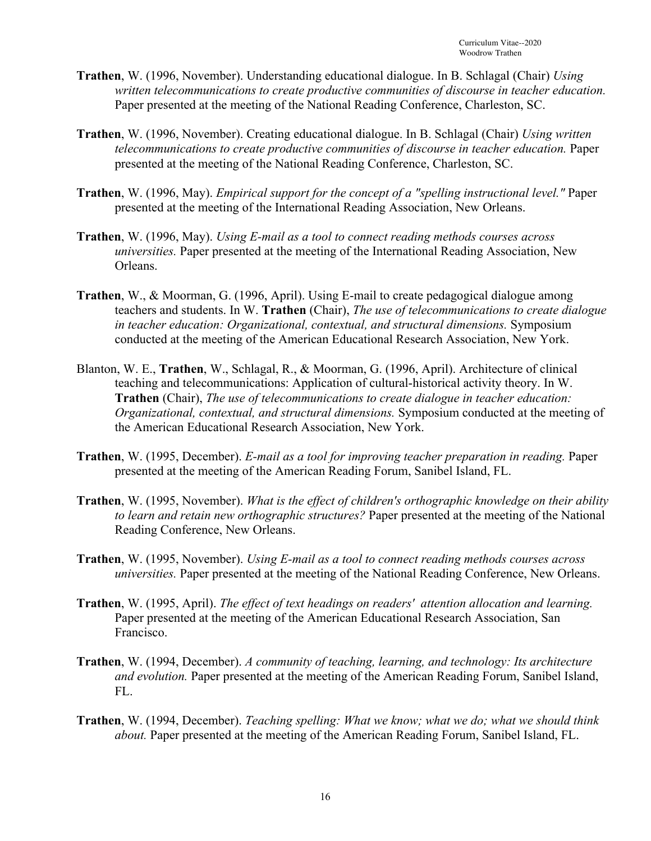- **Trathen**, W. (1996, November). Understanding educational dialogue. In B. Schlagal (Chair) *Using written telecommunications to create productive communities of discourse in teacher education.* Paper presented at the meeting of the National Reading Conference, Charleston, SC.
- **Trathen**, W. (1996, November). Creating educational dialogue. In B. Schlagal (Chair) *Using written telecommunications to create productive communities of discourse in teacher education.* Paper presented at the meeting of the National Reading Conference, Charleston, SC.
- **Trathen**, W. (1996, May). *Empirical support for the concept of a "spelling instructional level."* Paper presented at the meeting of the International Reading Association, New Orleans.
- **Trathen**, W. (1996, May). *Using E-mail as a tool to connect reading methods courses across universities.* Paper presented at the meeting of the International Reading Association, New Orleans.
- **Trathen**, W., & Moorman, G. (1996, April). Using E-mail to create pedagogical dialogue among teachers and students. In W. **Trathen** (Chair), *The use of telecommunications to create dialogue in teacher education: Organizational, contextual, and structural dimensions.* Symposium conducted at the meeting of the American Educational Research Association, New York.
- Blanton, W. E., **Trathen**, W., Schlagal, R., & Moorman, G. (1996, April). Architecture of clinical teaching and telecommunications: Application of cultural-historical activity theory. In W. **Trathen** (Chair), *The use of telecommunications to create dialogue in teacher education: Organizational, contextual, and structural dimensions.* Symposium conducted at the meeting of the American Educational Research Association, New York.
- **Trathen**, W. (1995, December). *E-mail as a tool for improving teacher preparation in reading.* Paper presented at the meeting of the American Reading Forum, Sanibel Island, FL.
- **Trathen**, W. (1995, November). *What is the effect of children's orthographic knowledge on their ability to learn and retain new orthographic structures?* Paper presented at the meeting of the National Reading Conference, New Orleans.
- **Trathen**, W. (1995, November). *Using E-mail as a tool to connect reading methods courses across universities.* Paper presented at the meeting of the National Reading Conference, New Orleans.
- **Trathen**, W. (1995, April). *The effect of text headings on readers' attention allocation and learning.* Paper presented at the meeting of the American Educational Research Association, San Francisco.
- **Trathen**, W. (1994, December). *A community of teaching, learning, and technology: Its architecture and evolution.* Paper presented at the meeting of the American Reading Forum, Sanibel Island, FL.
- **Trathen**, W. (1994, December). *Teaching spelling: What we know; what we do; what we should think about.* Paper presented at the meeting of the American Reading Forum, Sanibel Island, FL.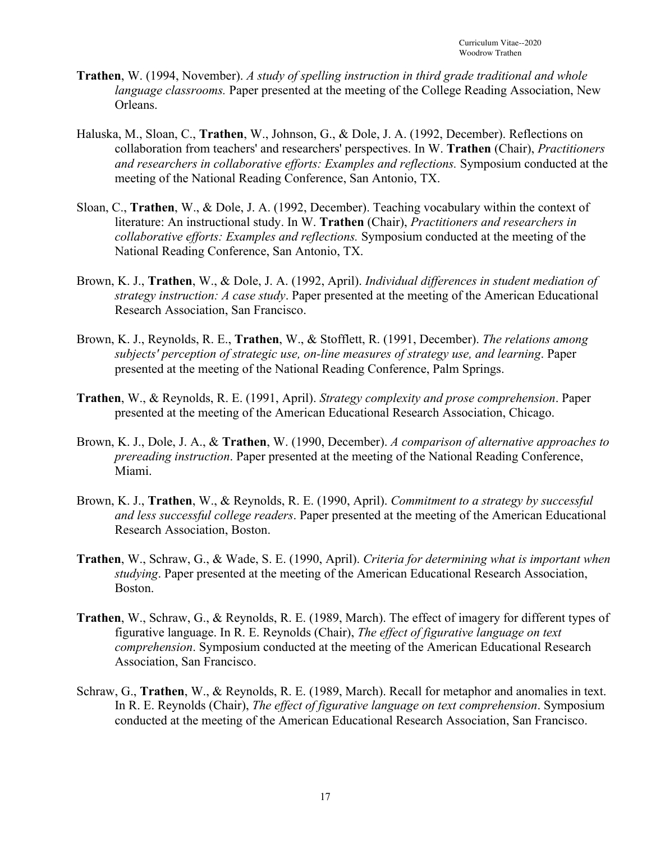- **Trathen**, W. (1994, November). *A study of spelling instruction in third grade traditional and whole language classrooms.* Paper presented at the meeting of the College Reading Association, New Orleans.
- Haluska, M., Sloan, C., **Trathen**, W., Johnson, G., & Dole, J. A. (1992, December). Reflections on collaboration from teachers' and researchers' perspectives. In W. **Trathen** (Chair), *Practitioners and researchers in collaborative efforts: Examples and reflections.* Symposium conducted at the meeting of the National Reading Conference, San Antonio, TX.
- Sloan, C., **Trathen**, W., & Dole, J. A. (1992, December). Teaching vocabulary within the context of literature: An instructional study. In W. **Trathen** (Chair), *Practitioners and researchers in collaborative efforts: Examples and reflections.* Symposium conducted at the meeting of the National Reading Conference, San Antonio, TX.
- Brown, K. J., **Trathen**, W., & Dole, J. A. (1992, April). *Individual differences in student mediation of strategy instruction: A case study*. Paper presented at the meeting of the American Educational Research Association, San Francisco.
- Brown, K. J., Reynolds, R. E., **Trathen**, W., & Stofflett, R. (1991, December). *The relations among subjects' perception of strategic use, on-line measures of strategy use, and learning*. Paper presented at the meeting of the National Reading Conference, Palm Springs.
- **Trathen**, W., & Reynolds, R. E. (1991, April). *Strategy complexity and prose comprehension*. Paper presented at the meeting of the American Educational Research Association, Chicago.
- Brown, K. J., Dole, J. A., & **Trathen**, W. (1990, December). *A comparison of alternative approaches to prereading instruction*. Paper presented at the meeting of the National Reading Conference, Miami.
- Brown, K. J., **Trathen**, W., & Reynolds, R. E. (1990, April). *Commitment to a strategy by successful and less successful college readers*. Paper presented at the meeting of the American Educational Research Association, Boston.
- **Trathen**, W., Schraw, G., & Wade, S. E. (1990, April). *Criteria for determining what is important when studying*. Paper presented at the meeting of the American Educational Research Association, Boston.
- **Trathen**, W., Schraw, G., & Reynolds, R. E. (1989, March). The effect of imagery for different types of figurative language. In R. E. Reynolds (Chair), *The effect of figurative language on text comprehension*. Symposium conducted at the meeting of the American Educational Research Association, San Francisco.
- Schraw, G., **Trathen**, W., & Reynolds, R. E. (1989, March). Recall for metaphor and anomalies in text. In R. E. Reynolds (Chair), *The effect of figurative language on text comprehension*. Symposium conducted at the meeting of the American Educational Research Association, San Francisco.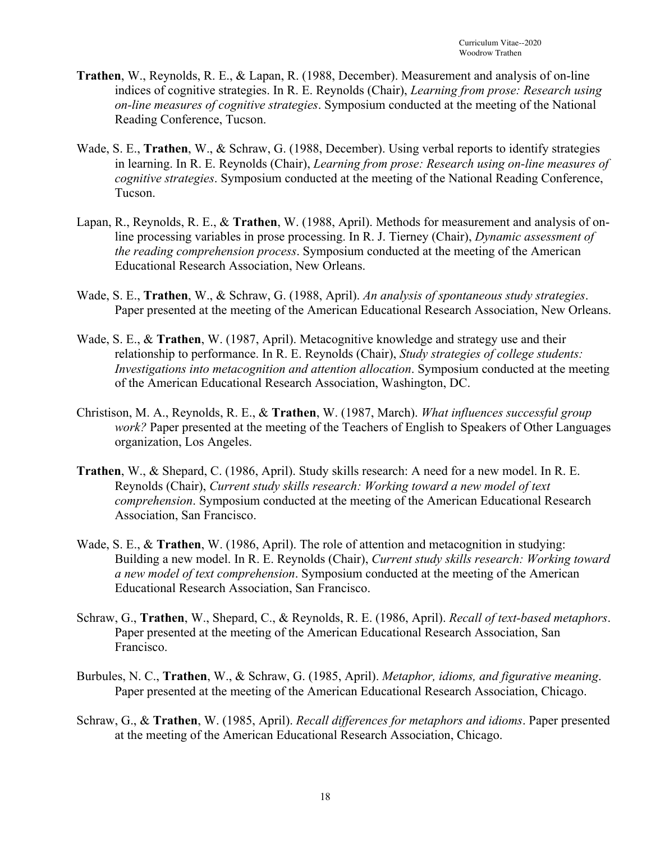- **Trathen**, W., Reynolds, R. E., & Lapan, R. (1988, December). Measurement and analysis of on-line indices of cognitive strategies. In R. E. Reynolds (Chair), *Learning from prose: Research using on-line measures of cognitive strategies*. Symposium conducted at the meeting of the National Reading Conference, Tucson.
- Wade, S. E., **Trathen**, W., & Schraw, G. (1988, December). Using verbal reports to identify strategies in learning. In R. E. Reynolds (Chair), *Learning from prose: Research using on-line measures of cognitive strategies*. Symposium conducted at the meeting of the National Reading Conference, Tucson.
- Lapan, R., Reynolds, R. E., & **Trathen**, W. (1988, April). Methods for measurement and analysis of online processing variables in prose processing. In R. J. Tierney (Chair), *Dynamic assessment of the reading comprehension process*. Symposium conducted at the meeting of the American Educational Research Association, New Orleans.
- Wade, S. E., **Trathen**, W., & Schraw, G. (1988, April). *An analysis of spontaneous study strategies*. Paper presented at the meeting of the American Educational Research Association, New Orleans.
- Wade, S. E., & **Trathen**, W. (1987, April). Metacognitive knowledge and strategy use and their relationship to performance. In R. E. Reynolds (Chair), *Study strategies of college students: Investigations into metacognition and attention allocation*. Symposium conducted at the meeting of the American Educational Research Association, Washington, DC.
- Christison, M. A., Reynolds, R. E., & **Trathen**, W. (1987, March). *What influences successful group work?* Paper presented at the meeting of the Teachers of English to Speakers of Other Languages organization, Los Angeles.
- **Trathen**, W., & Shepard, C. (1986, April). Study skills research: A need for a new model. In R. E. Reynolds (Chair), *Current study skills research: Working toward a new model of text comprehension*. Symposium conducted at the meeting of the American Educational Research Association, San Francisco.
- Wade, S. E., & **Trathen**, W. (1986, April). The role of attention and metacognition in studying: Building a new model. In R. E. Reynolds (Chair), *Current study skills research: Working toward a new model of text comprehension*. Symposium conducted at the meeting of the American Educational Research Association, San Francisco.
- Schraw, G., **Trathen**, W., Shepard, C., & Reynolds, R. E. (1986, April). *Recall of text-based metaphors*. Paper presented at the meeting of the American Educational Research Association, San Francisco.
- Burbules, N. C., **Trathen**, W., & Schraw, G. (1985, April). *Metaphor, idioms, and figurative meaning*. Paper presented at the meeting of the American Educational Research Association, Chicago.
- Schraw, G., & **Trathen**, W. (1985, April). *Recall differences for metaphors and idioms*. Paper presented at the meeting of the American Educational Research Association, Chicago.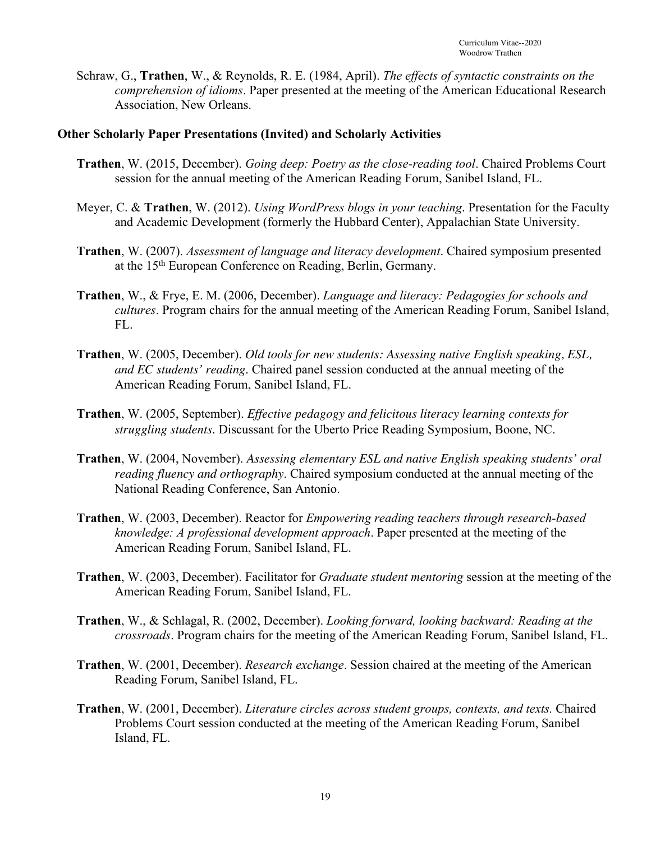Schraw, G., **Trathen**, W., & Reynolds, R. E. (1984, April). *The effects of syntactic constraints on the comprehension of idioms*. Paper presented at the meeting of the American Educational Research Association, New Orleans.

#### **Other Scholarly Paper Presentations (Invited) and Scholarly Activities**

- **Trathen**, W. (2015, December). *Going deep: Poetry as the close-reading tool*. Chaired Problems Court session for the annual meeting of the American Reading Forum, Sanibel Island, FL.
- Meyer, C. & **Trathen**, W. (2012). *Using WordPress blogs in your teaching*. Presentation for the Faculty and Academic Development (formerly the Hubbard Center), Appalachian State University.
- **Trathen**, W. (2007). *Assessment of language and literacy development*. Chaired symposium presented at the 15th European Conference on Reading, Berlin, Germany.
- **Trathen**, W., & Frye, E. M. (2006, December). *Language and literacy: Pedagogies for schools and cultures*. Program chairs for the annual meeting of the American Reading Forum, Sanibel Island, FL.
- **Trathen**, W. (2005, December). *Old tools for new students: Assessing native English speaking, ESL, and EC students' reading*. Chaired panel session conducted at the annual meeting of the American Reading Forum, Sanibel Island, FL.
- **Trathen**, W. (2005, September). *Effective pedagogy and felicitous literacy learning contexts for struggling students*. Discussant for the Uberto Price Reading Symposium, Boone, NC.
- **Trathen**, W. (2004, November). *Assessing elementary ESL and native English speaking students' oral reading fluency and orthography*. Chaired symposium conducted at the annual meeting of the National Reading Conference, San Antonio.
- **Trathen**, W. (2003, December). Reactor for *Empowering reading teachers through research-based knowledge: A professional development approach*. Paper presented at the meeting of the American Reading Forum, Sanibel Island, FL.
- **Trathen**, W. (2003, December). Facilitator for *Graduate student mentoring* session at the meeting of the American Reading Forum, Sanibel Island, FL.
- **Trathen**, W., & Schlagal, R. (2002, December). *Looking forward, looking backward: Reading at the crossroads*. Program chairs for the meeting of the American Reading Forum, Sanibel Island, FL.
- **Trathen**, W. (2001, December). *Research exchange*. Session chaired at the meeting of the American Reading Forum, Sanibel Island, FL.
- **Trathen**, W. (2001, December). *Literature circles across student groups, contexts, and texts.* Chaired Problems Court session conducted at the meeting of the American Reading Forum, Sanibel Island, FL.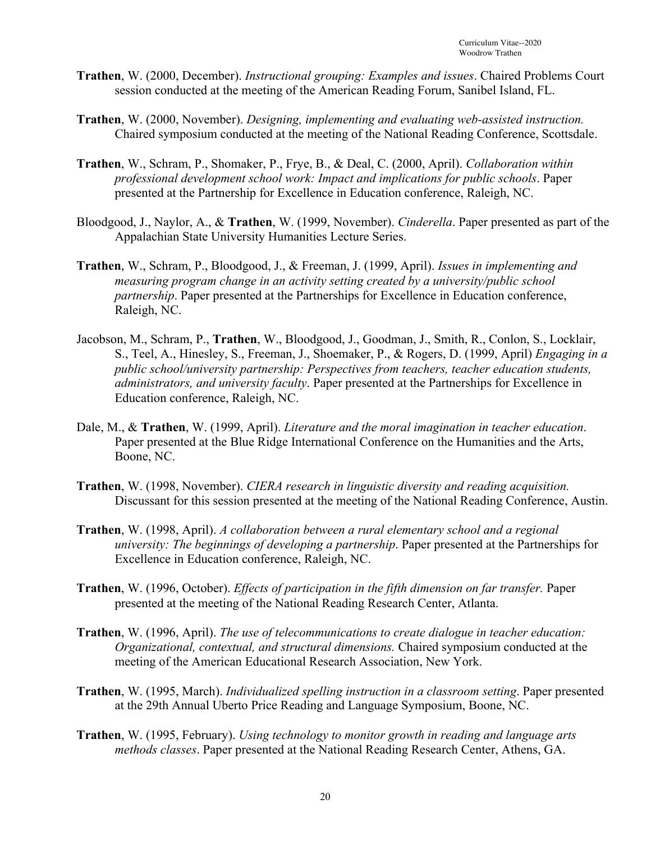- **Trathen**, W. (2000, December). *Instructional grouping: Examples and issues*. Chaired Problems Court session conducted at the meeting of the American Reading Forum, Sanibel Island, FL.
- **Trathen**, W. (2000, November). *Designing, implementing and evaluating web-assisted instruction.* Chaired symposium conducted at the meeting of the National Reading Conference, Scottsdale.
- **Trathen**, W., Schram, P., Shomaker, P., Frye, B., & Deal, C. (2000, April). *Collaboration within professional development school work: Impact and implications for public schools*. Paper presented at the Partnership for Excellence in Education conference, Raleigh, NC.
- Bloodgood, J., Naylor, A., & **Trathen**, W. (1999, November). *Cinderella*. Paper presented as part of the Appalachian State University Humanities Lecture Series.
- **Trathen**, W., Schram, P., Bloodgood, J., & Freeman, J. (1999, April). *Issues in implementing and measuring program change in an activity setting created by a university/public school partnership*. Paper presented at the Partnerships for Excellence in Education conference, Raleigh, NC.
- Jacobson, M., Schram, P., **Trathen**, W., Bloodgood, J., Goodman, J., Smith, R., Conlon, S., Locklair, S., Teel, A., Hinesley, S., Freeman, J., Shoemaker, P., & Rogers, D. (1999, April) *Engaging in a public school/university partnership: Perspectives from teachers, teacher education students, administrators, and university faculty*. Paper presented at the Partnerships for Excellence in Education conference, Raleigh, NC.
- Dale, M., & **Trathen**, W. (1999, April). *Literature and the moral imagination in teacher education*. Paper presented at the Blue Ridge International Conference on the Humanities and the Arts, Boone, NC.
- **Trathen**, W. (1998, November). *CIERA research in linguistic diversity and reading acquisition.* Discussant for this session presented at the meeting of the National Reading Conference, Austin.
- **Trathen**, W. (1998, April). *A collaboration between a rural elementary school and a regional university: The beginnings of developing a partnership*. Paper presented at the Partnerships for Excellence in Education conference, Raleigh, NC.
- **Trathen**, W. (1996, October). *Effects of participation in the fifth dimension on far transfer.* Paper presented at the meeting of the National Reading Research Center, Atlanta.
- **Trathen**, W. (1996, April). *The use of telecommunications to create dialogue in teacher education: Organizational, contextual, and structural dimensions.* Chaired symposium conducted at the meeting of the American Educational Research Association, New York.
- **Trathen**, W. (1995, March). *Individualized spelling instruction in a classroom setting*. Paper presented at the 29th Annual Uberto Price Reading and Language Symposium, Boone, NC.
- **Trathen**, W. (1995, February). *Using technology to monitor growth in reading and language arts methods classes*. Paper presented at the National Reading Research Center, Athens, GA.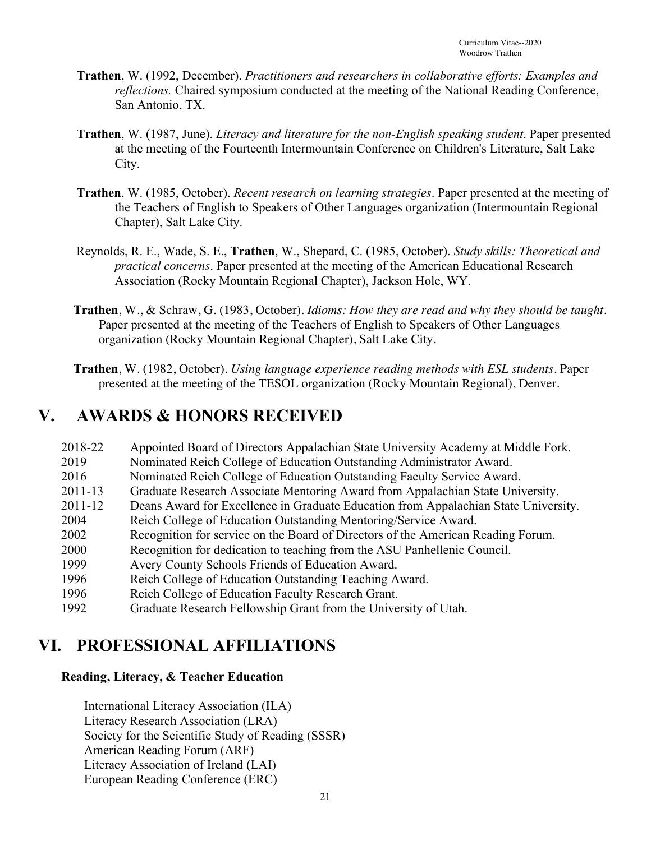- **Trathen**, W. (1992, December). *Practitioners and researchers in collaborative efforts: Examples and reflections.* Chaired symposium conducted at the meeting of the National Reading Conference, San Antonio, TX.
- **Trathen**, W. (1987, June). *Literacy and literature for the non-English speaking student*. Paper presented at the meeting of the Fourteenth Intermountain Conference on Children's Literature, Salt Lake City.
- **Trathen**, W. (1985, October). *Recent research on learning strategies*. Paper presented at the meeting of the Teachers of English to Speakers of Other Languages organization (Intermountain Regional Chapter), Salt Lake City.
- Reynolds, R. E., Wade, S. E., **Trathen**, W., Shepard, C. (1985, October). *Study skills: Theoretical and practical concerns*. Paper presented at the meeting of the American Educational Research Association (Rocky Mountain Regional Chapter), Jackson Hole, WY.
- **Trathen**, W., & Schraw, G. (1983, October). *Idioms: How they are read and why they should be taught*. Paper presented at the meeting of the Teachers of English to Speakers of Other Languages organization (Rocky Mountain Regional Chapter), Salt Lake City.
- **Trathen**, W. (1982, October). *Using language experience reading methods with ESL students*. Paper presented at the meeting of the TESOL organization (Rocky Mountain Regional), Denver.

# **V. AWARDS & HONORS RECEIVED**

| 2018-22     | Appointed Board of Directors Appalachian State University Academy at Middle Fork.   |
|-------------|-------------------------------------------------------------------------------------|
| 2019        | Nominated Reich College of Education Outstanding Administrator Award.               |
| 2016        | Nominated Reich College of Education Outstanding Faculty Service Award.             |
| $2011 - 13$ | Graduate Research Associate Mentoring Award from Appalachian State University.      |
| $2011 - 12$ | Deans Award for Excellence in Graduate Education from Appalachian State University. |
| 2004        | Reich College of Education Outstanding Mentoring/Service Award.                     |
| 2002        | Recognition for service on the Board of Directors of the American Reading Forum.    |
| 2000        | Recognition for dedication to teaching from the ASU Panhellenic Council.            |
| 1999        | Avery County Schools Friends of Education Award.                                    |
| 1996        | Reich College of Education Outstanding Teaching Award.                              |
| 1996        | Reich College of Education Faculty Research Grant.                                  |
| 1992        | Graduate Research Fellowship Grant from the University of Utah.                     |

# **VI. PROFESSIONAL AFFILIATIONS**

#### **Reading, Literacy, & Teacher Education**

International Literacy Association (ILA) Literacy Research Association (LRA) Society for the Scientific Study of Reading (SSSR) American Reading Forum (ARF) Literacy Association of Ireland (LAI) European Reading Conference (ERC)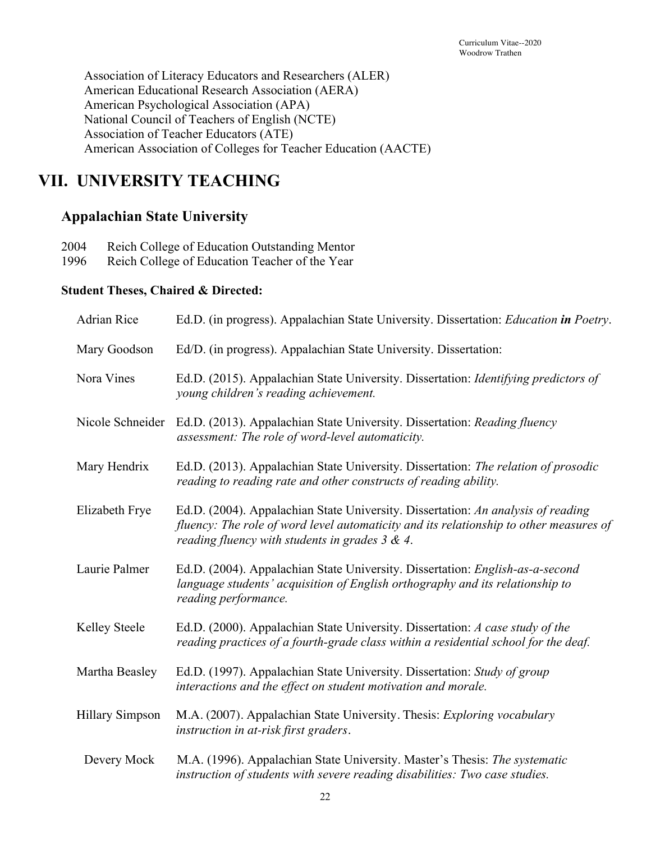Association of Literacy Educators and Researchers (ALER) American Educational Research Association (AERA) American Psychological Association (APA) National Council of Teachers of English (NCTE) Association of Teacher Educators (ATE) American Association of Colleges for Teacher Education (AACTE)

# **VII. UNIVERSITY TEACHING**

### **Appalachian State University**

| 2004 | Reich College of Education Outstanding Mentor |  |  |  |
|------|-----------------------------------------------|--|--|--|
|------|-----------------------------------------------|--|--|--|

1996 Reich College of Education Teacher of the Year

#### **Student Theses, Chaired & Directed:**

| Adrian Rice            | Ed.D. (in progress). Appalachian State University. Dissertation: Education in Poetry.                                                                                                                                           |  |  |
|------------------------|---------------------------------------------------------------------------------------------------------------------------------------------------------------------------------------------------------------------------------|--|--|
| Mary Goodson           | Ed/D. (in progress). Appalachian State University. Dissertation:                                                                                                                                                                |  |  |
| Nora Vines             | Ed.D. (2015). Appalachian State University. Dissertation: Identifying predictors of<br>young children's reading achievement.                                                                                                    |  |  |
| Nicole Schneider       | Ed.D. (2013). Appalachian State University. Dissertation: Reading fluency<br>assessment: The role of word-level automaticity.                                                                                                   |  |  |
| Mary Hendrix           | Ed.D. (2013). Appalachian State University. Dissertation: The relation of prosodic<br>reading to reading rate and other constructs of reading ability.                                                                          |  |  |
| Elizabeth Frye         | Ed.D. (2004). Appalachian State University. Dissertation: An analysis of reading<br>fluency: The role of word level automaticity and its relationship to other measures of<br>reading fluency with students in grades $3 & 4$ . |  |  |
| Laurie Palmer          | Ed.D. (2004). Appalachian State University. Dissertation: English-as-a-second<br>language students' acquisition of English orthography and its relationship to<br>reading performance.                                          |  |  |
| Kelley Steele          | Ed.D. (2000). Appalachian State University. Dissertation: A case study of the<br>reading practices of a fourth-grade class within a residential school for the deaf.                                                            |  |  |
| Martha Beasley         | Ed.D. (1997). Appalachian State University. Dissertation: Study of group<br>interactions and the effect on student motivation and morale.                                                                                       |  |  |
| <b>Hillary Simpson</b> | M.A. (2007). Appalachian State University. Thesis: Exploring vocabulary<br>instruction in at-risk first graders.                                                                                                                |  |  |
| Devery Mock            | M.A. (1996). Appalachian State University. Master's Thesis: The systematic<br>instruction of students with severe reading disabilities: Two case studies.                                                                       |  |  |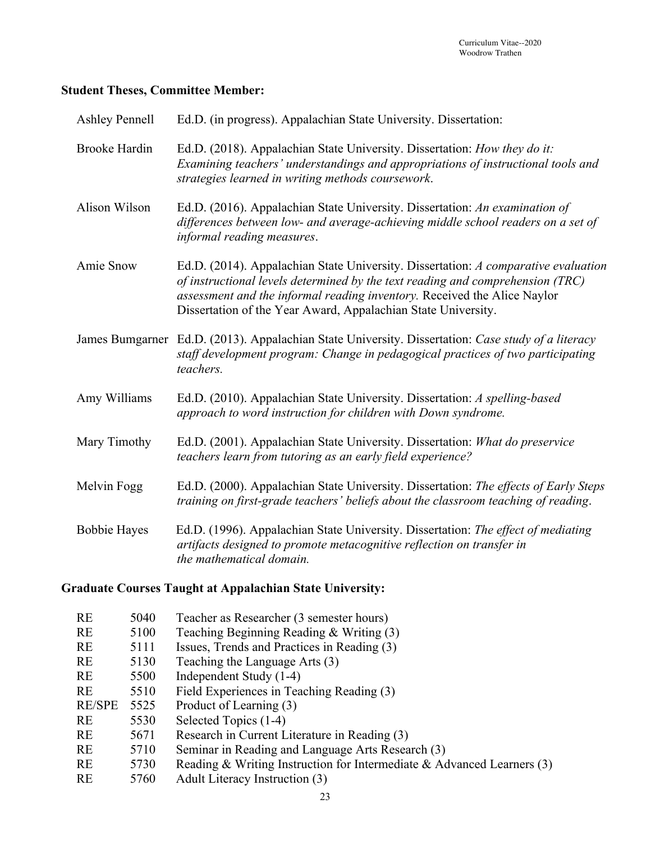#### **Student Theses, Committee Member:**

| <b>Ashley Pennell</b> | Ed.D. (in progress). Appalachian State University. Dissertation:                                                                                                                                                                                                                                                  |
|-----------------------|-------------------------------------------------------------------------------------------------------------------------------------------------------------------------------------------------------------------------------------------------------------------------------------------------------------------|
| <b>Brooke Hardin</b>  | Ed.D. (2018). Appalachian State University. Dissertation: How they do it:<br>Examining teachers' understandings and appropriations of instructional tools and<br>strategies learned in writing methods coursework.                                                                                                |
| Alison Wilson         | Ed.D. (2016). Appalachian State University. Dissertation: An examination of<br>differences between low- and average-achieving middle school readers on a set of<br>informal reading measures.                                                                                                                     |
| Amie Snow             | Ed.D. (2014). Appalachian State University. Dissertation: A comparative evaluation<br>of instructional levels determined by the text reading and comprehension (TRC)<br>assessment and the informal reading inventory. Received the Alice Naylor<br>Dissertation of the Year Award, Appalachian State University. |
|                       | James Bumgarner Ed.D. (2013). Appalachian State University. Dissertation: Case study of a literacy<br>staff development program: Change in pedagogical practices of two participating<br>teachers.                                                                                                                |
| Amy Williams          | Ed.D. (2010). Appalachian State University. Dissertation: A spelling-based<br>approach to word instruction for children with Down syndrome.                                                                                                                                                                       |
| Mary Timothy          | Ed.D. (2001). Appalachian State University. Dissertation: What do preservice<br>teachers learn from tutoring as an early field experience?                                                                                                                                                                        |
| Melvin Fogg           | Ed.D. (2000). Appalachian State University. Dissertation: The effects of Early Steps<br>training on first-grade teachers' beliefs about the classroom teaching of reading.                                                                                                                                        |
| <b>Bobbie Hayes</b>   | Ed.D. (1996). Appalachian State University. Dissertation: The effect of mediating<br>artifacts designed to promote metacognitive reflection on transfer in<br>the mathematical domain.                                                                                                                            |

### **Graduate Courses Taught at Appalachian State University:**

| <b>RE</b>     | 5040 | Teacher as Researcher (3 semester hours)                                 |
|---------------|------|--------------------------------------------------------------------------|
| <b>RE</b>     | 5100 | Teaching Beginning Reading $&$ Writing (3)                               |
| <b>RE</b>     | 5111 | Issues, Trends and Practices in Reading (3)                              |
| <b>RE</b>     | 5130 | Teaching the Language Arts (3)                                           |
| <b>RE</b>     | 5500 | Independent Study (1-4)                                                  |
| <b>RE</b>     | 5510 | Field Experiences in Teaching Reading (3)                                |
| <b>RE/SPE</b> | 5525 | Product of Learning (3)                                                  |
| <b>RE</b>     | 5530 | Selected Topics (1-4)                                                    |
| <b>RE</b>     | 5671 | Research in Current Literature in Reading (3)                            |
| <b>RE</b>     | 5710 | Seminar in Reading and Language Arts Research (3)                        |
| RE            | 5730 | Reading & Writing Instruction for Intermediate & Advanced Learners $(3)$ |
| <b>RE</b>     | 5760 | Adult Literacy Instruction (3)                                           |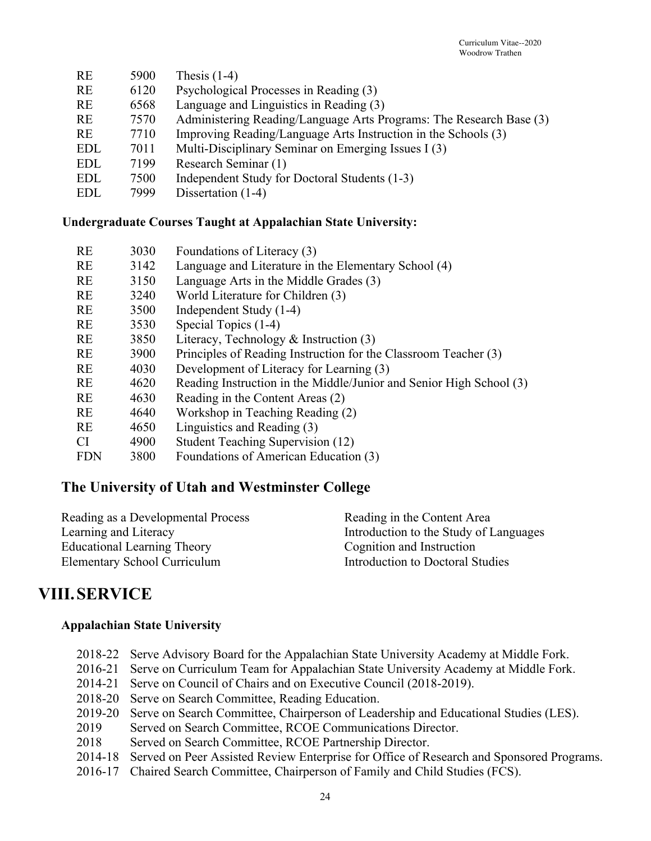| <b>RE</b>  | 5900 | Thesis $(1-4)$                                                      |
|------------|------|---------------------------------------------------------------------|
| <b>RE</b>  | 6120 | Psychological Processes in Reading (3)                              |
| <b>RE</b>  | 6568 | Language and Linguistics in Reading (3)                             |
| <b>RE</b>  | 7570 | Administering Reading/Language Arts Programs: The Research Base (3) |
| RE         | 7710 | Improving Reading/Language Arts Instruction in the Schools (3)      |
| <b>EDL</b> | 7011 | Multi-Disciplinary Seminar on Emerging Issues I (3)                 |
| <b>EDL</b> | 7199 | Research Seminar (1)                                                |
| <b>EDL</b> | 7500 | Independent Study for Doctoral Students (1-3)                       |
| <b>EDL</b> | 7999 | Dissertation (1-4)                                                  |
|            |      |                                                                     |

#### **Undergraduate Courses Taught at Appalachian State University:**

| 3030 | Foundations of Literacy (3)                                         |
|------|---------------------------------------------------------------------|
| 3142 | Language and Literature in the Elementary School (4)                |
| 3150 | Language Arts in the Middle Grades (3)                              |
| 3240 | World Literature for Children (3)                                   |
| 3500 | Independent Study (1-4)                                             |
| 3530 | Special Topics (1-4)                                                |
| 3850 | Literacy, Technology & Instruction $(3)$                            |
| 3900 | Principles of Reading Instruction for the Classroom Teacher (3)     |
| 4030 | Development of Literacy for Learning (3)                            |
| 4620 | Reading Instruction in the Middle/Junior and Senior High School (3) |
| 4630 | Reading in the Content Areas (2)                                    |
| 4640 | Workshop in Teaching Reading (2)                                    |
| 4650 | Linguistics and Reading (3)                                         |
| 4900 | Student Teaching Supervision (12)                                   |
| 3800 | Foundations of American Education (3)                               |
|      |                                                                     |

## **The University of Utah and Westminster College**

| Reading in the Content Area            |
|----------------------------------------|
| Introduction to the Study of Languages |
| Cognition and Instruction              |
| Introduction to Doctoral Studies       |
|                                        |

### **VIII.SERVICE**

#### **Appalachian State University**

|      | 2018-22 Serve Advisory Board for the Appalachian State University Academy at Middle Fork.        |
|------|--------------------------------------------------------------------------------------------------|
|      | 2016-21 Serve on Curriculum Team for Appalachian State University Academy at Middle Fork.        |
|      | 2014-21 Serve on Council of Chairs and on Executive Council (2018-2019).                         |
|      | 2018-20 Serve on Search Committee, Reading Education.                                            |
|      | 2019-20 Serve on Search Committee, Chairperson of Leadership and Educational Studies (LES).      |
| 2019 | Served on Search Committee, RCOE Communications Director.                                        |
| 2018 | Served on Search Committee, RCOE Partnership Director.                                           |
|      | 2014-18 Served on Peer Assisted Review Enterprise for Office of Research and Sponsored Programs. |
|      |                                                                                                  |

2016-17 Chaired Search Committee, Chairperson of Family and Child Studies (FCS).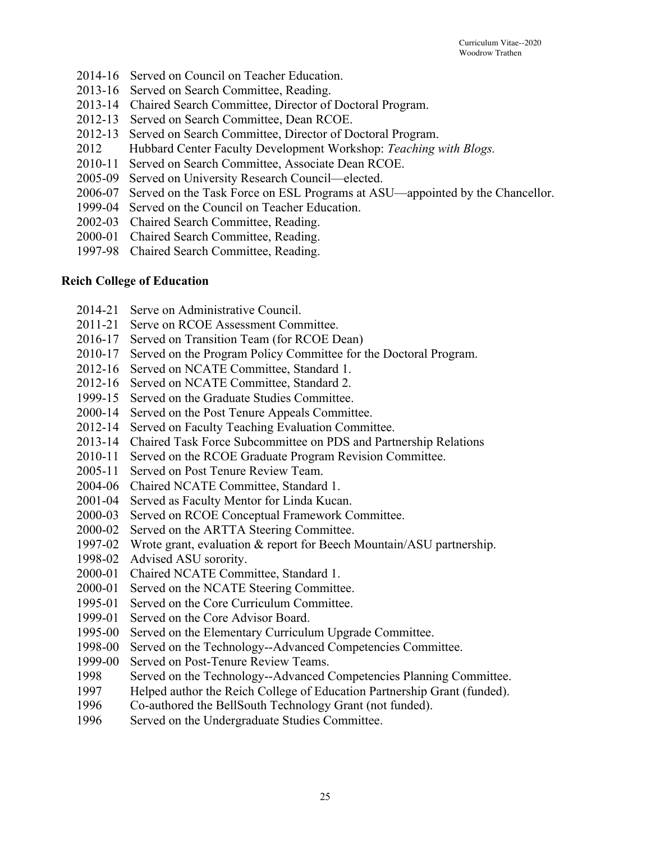- 2014-16 Served on Council on Teacher Education.
- 2013-16 Served on Search Committee, Reading.
- 2013-14 Chaired Search Committee, Director of Doctoral Program.
- 2012-13 Served on Search Committee, Dean RCOE.
- 2012-13 Served on Search Committee, Director of Doctoral Program.
- 2012 Hubbard Center Faculty Development Workshop: *Teaching with Blogs.*
- 2010-11 Served on Search Committee, Associate Dean RCOE.
- 2005-09 Served on University Research Council—elected.
- 2006-07 Served on the Task Force on ESL Programs at ASU—appointed by the Chancellor.
- 1999-04 Served on the Council on Teacher Education.
- 2002-03 Chaired Search Committee, Reading.
- 2000-01 Chaired Search Committee, Reading.
- 1997-98 Chaired Search Committee, Reading.

#### **Reich College of Education**

- 2014-21 Serve on Administrative Council.
- 2011-21 Serve on RCOE Assessment Committee.
- 2016-17 Served on Transition Team (for RCOE Dean)
- 2010-17 Served on the Program Policy Committee for the Doctoral Program.
- 2012-16 Served on NCATE Committee, Standard 1.
- 2012-16 Served on NCATE Committee, Standard 2.
- 1999-15 Served on the Graduate Studies Committee.
- 2000-14 Served on the Post Tenure Appeals Committee.
- 2012-14 Served on Faculty Teaching Evaluation Committee.
- 2013-14 Chaired Task Force Subcommittee on PDS and Partnership Relations
- 2010-11 Served on the RCOE Graduate Program Revision Committee.
- 2005-11 Served on Post Tenure Review Team.
- 2004-06 Chaired NCATE Committee, Standard 1.
- 2001-04 Served as Faculty Mentor for Linda Kucan.
- 2000-03 Served on RCOE Conceptual Framework Committee.
- 2000-02 Served on the ARTTA Steering Committee.
- 1997-02 Wrote grant, evaluation & report for Beech Mountain/ASU partnership.
- 1998-02 Advised ASU sorority.
- 2000-01 Chaired NCATE Committee, Standard 1.
- 2000-01 Served on the NCATE Steering Committee.
- 1995-01 Served on the Core Curriculum Committee.
- 1999-01 Served on the Core Advisor Board.
- 1995-00 Served on the Elementary Curriculum Upgrade Committee.
- 1998-00 Served on the Technology--Advanced Competencies Committee.
- 1999-00 Served on Post-Tenure Review Teams.
- 1998 Served on the Technology--Advanced Competencies Planning Committee.
- 1997 Helped author the Reich College of Education Partnership Grant (funded).
- 1996 Co-authored the BellSouth Technology Grant (not funded).
- 1996 Served on the Undergraduate Studies Committee.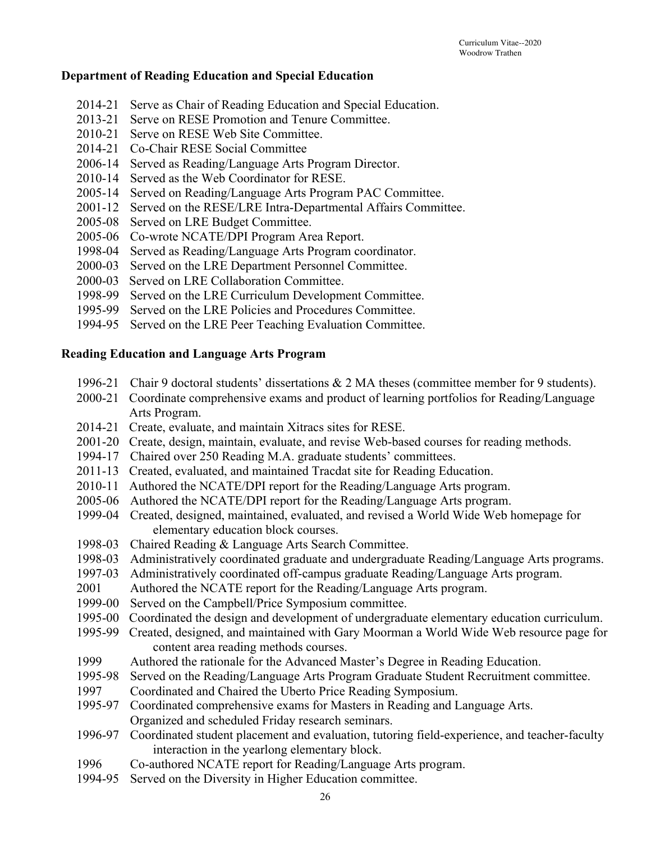#### **Department of Reading Education and Special Education**

- 2014-21 Serve as Chair of Reading Education and Special Education.
- 2013-21 Serve on RESE Promotion and Tenure Committee.
- 2010-21 Serve on RESE Web Site Committee.
- 2014-21 Co-Chair RESE Social Committee
- 2006-14 Served as Reading/Language Arts Program Director.
- 2010-14 Served as the Web Coordinator for RESE.
- 2005-14 Served on Reading/Language Arts Program PAC Committee.
- 2001-12 Served on the RESE/LRE Intra-Departmental Affairs Committee.
- 2005-08 Served on LRE Budget Committee.
- 2005-06 Co-wrote NCATE/DPI Program Area Report.
- 1998-04 Served as Reading/Language Arts Program coordinator.
- 2000-03 Served on the LRE Department Personnel Committee.
- 2000-03 Served on LRE Collaboration Committee.
- 1998-99 Served on the LRE Curriculum Development Committee.
- 1995-99 Served on the LRE Policies and Procedures Committee.
- 1994-95 Served on the LRE Peer Teaching Evaluation Committee.

#### **Reading Education and Language Arts Program**

- 1996-21 Chair 9 doctoral students' dissertations & 2 MA theses (committee member for 9 students).
- 2000-21 Coordinate comprehensive exams and product of learning portfolios for Reading/Language Arts Program.
- 2014-21 Create, evaluate, and maintain Xitracs sites for RESE.
- 2001-20 Create, design, maintain, evaluate, and revise Web-based courses for reading methods.
- 1994-17 Chaired over 250 Reading M.A. graduate students' committees.
- 2011-13 Created, evaluated, and maintained Tracdat site for Reading Education.
- 2010-11 Authored the NCATE/DPI report for the Reading/Language Arts program.
- 2005-06 Authored the NCATE/DPI report for the Reading/Language Arts program.
- 1999-04 Created, designed, maintained, evaluated, and revised a World Wide Web homepage for elementary education block courses.
- 1998-03 Chaired Reading & Language Arts Search Committee.
- 1998-03 Administratively coordinated graduate and undergraduate Reading/Language Arts programs.
- 1997-03 Administratively coordinated off-campus graduate Reading/Language Arts program.
- 2001 Authored the NCATE report for the Reading/Language Arts program.
- 1999-00 Served on the Campbell/Price Symposium committee.
- 1995-00 Coordinated the design and development of undergraduate elementary education curriculum.
- 1995-99 Created, designed, and maintained with Gary Moorman a World Wide Web resource page for content area reading methods courses.
- 1999 Authored the rationale for the Advanced Master's Degree in Reading Education.
- 1995-98 Served on the Reading/Language Arts Program Graduate Student Recruitment committee.
- 1997 Coordinated and Chaired the Uberto Price Reading Symposium.
- 1995-97 Coordinated comprehensive exams for Masters in Reading and Language Arts. Organized and scheduled Friday research seminars.
- 1996-97 Coordinated student placement and evaluation, tutoring field-experience, and teacher-faculty interaction in the yearlong elementary block.
- 1996 Co-authored NCATE report for Reading/Language Arts program.
- 1994-95 Served on the Diversity in Higher Education committee.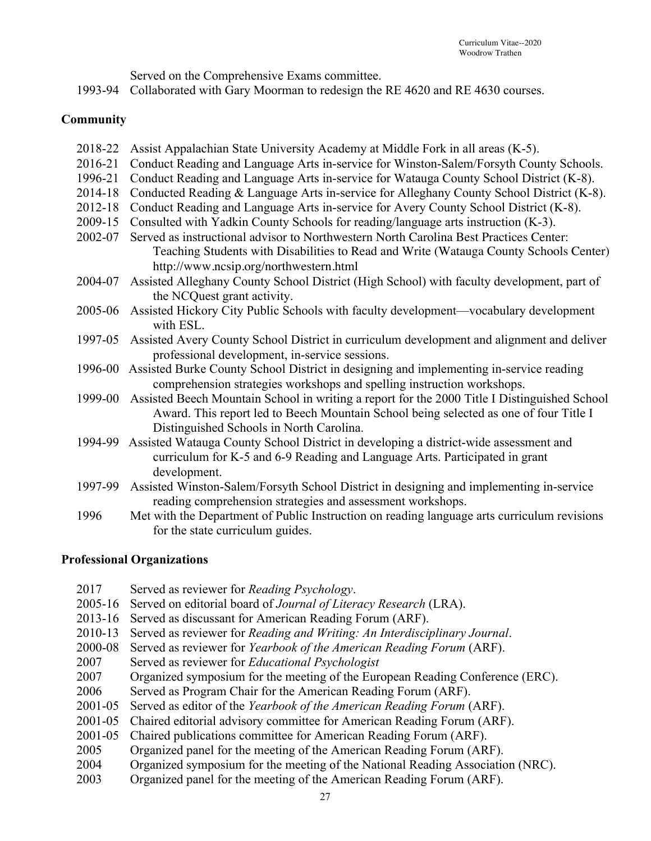|  | Served on the Comprehensive Exams committee. |
|--|----------------------------------------------|
|  |                                              |

1993-94 Collaborated with Gary Moorman to redesign the RE 4620 and RE 4630 courses.

#### **Community**

- 2018-22 Assist Appalachian State University Academy at Middle Fork in all areas (K-5).
- 2016-21 Conduct Reading and Language Arts in-service for Winston-Salem/Forsyth County Schools.
- 1996-21 Conduct Reading and Language Arts in-service for Watauga County School District (K-8).
- 2014-18 Conducted Reading & Language Arts in-service for Alleghany County School District (K-8).
- 2012-18 Conduct Reading and Language Arts in-service for Avery County School District (K-8).
- 2009-15 Consulted with Yadkin County Schools for reading/language arts instruction (K-3).
- 2002-07 Served as instructional advisor to Northwestern North Carolina Best Practices Center: Teaching Students with Disabilities to Read and Write (Watauga County Schools Center) http://www.ncsip.org/northwestern.html
- 2004-07 Assisted Alleghany County School District (High School) with faculty development, part of the NCQuest grant activity.
- 2005-06 Assisted Hickory City Public Schools with faculty development—vocabulary development with ESL.
- 1997-05 Assisted Avery County School District in curriculum development and alignment and deliver professional development, in-service sessions.
- 1996-00 Assisted Burke County School District in designing and implementing in-service reading comprehension strategies workshops and spelling instruction workshops.
- 1999-00 Assisted Beech Mountain School in writing a report for the 2000 Title I Distinguished School Award. This report led to Beech Mountain School being selected as one of four Title I Distinguished Schools in North Carolina.
- 1994-99 Assisted Watauga County School District in developing a district-wide assessment and curriculum for K-5 and 6-9 Reading and Language Arts. Participated in grant development.
- 1997-99 Assisted Winston-Salem/Forsyth School District in designing and implementing in-service reading comprehension strategies and assessment workshops.
- 1996 Met with the Department of Public Instruction on reading language arts curriculum revisions for the state curriculum guides.

#### **Professional Organizations**

2017 Served as reviewer for *Reading Psychology*. 2005-16 Served on editorial board of *Journal of Literacy Research* (LRA). 2013-16 Served as discussant for American Reading Forum (ARF). 2010-13 Served as reviewer for *Reading and Writing: An Interdisciplinary Journal*. 2000-08 Served as reviewer for *Yearbook of the American Reading Forum* (ARF). 2007 Served as reviewer for *Educational Psychologist* 2007 Organized symposium for the meeting of the European Reading Conference (ERC). 2006 Served as Program Chair for the American Reading Forum (ARF). 2001-05 Served as editor of the *Yearbook of the American Reading Forum* (ARF). 2001-05 Chaired editorial advisory committee for American Reading Forum (ARF). 2001-05 Chaired publications committee for American Reading Forum (ARF). 2005 Organized panel for the meeting of the American Reading Forum (ARF). 2004 Organized symposium for the meeting of the National Reading Association (NRC). 2003 Organized panel for the meeting of the American Reading Forum (ARF).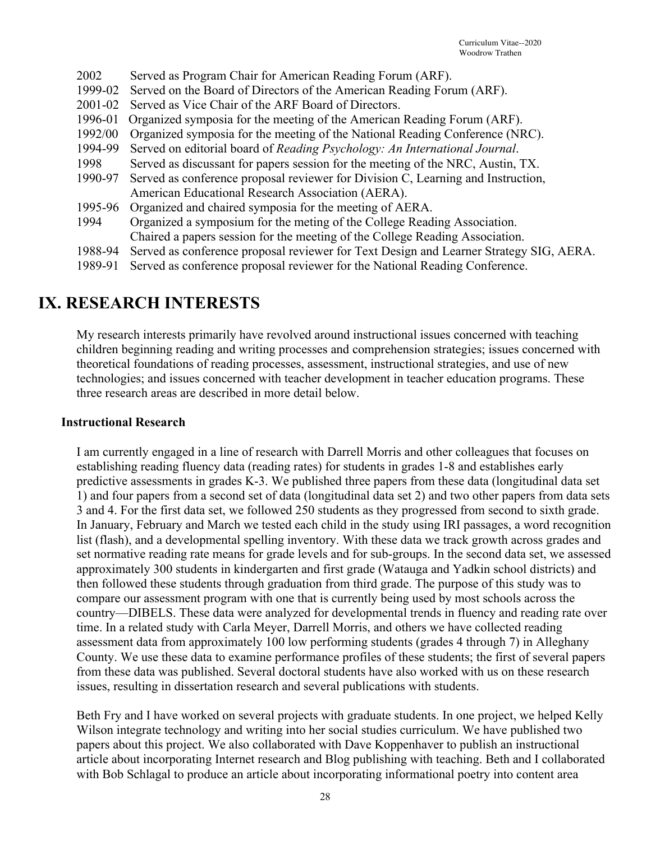- 2002 Served as Program Chair for American Reading Forum (ARF).
- 1999-02 Served on the Board of Directors of the American Reading Forum (ARF).
- 2001-02 Served as Vice Chair of the ARF Board of Directors.
- 1996-01 Organized symposia for the meeting of the American Reading Forum (ARF).
- 1992/00 Organized symposia for the meeting of the National Reading Conference (NRC).
- 1994-99 Served on editorial board of *Reading Psychology: An International Journal*.
- 1998 Served as discussant for papers session for the meeting of the NRC, Austin, TX.
- 1990-97 Served as conference proposal reviewer for Division C, Learning and Instruction, American Educational Research Association (AERA).
- 1995-96 Organized and chaired symposia for the meeting of AERA.
- 1994 Organized a symposium for the meting of the College Reading Association. Chaired a papers session for the meeting of the College Reading Association.
- 1988-94 Served as conference proposal reviewer for Text Design and Learner Strategy SIG, AERA.
- 1989-91 Served as conference proposal reviewer for the National Reading Conference.

### **IX. RESEARCH INTERESTS**

My research interests primarily have revolved around instructional issues concerned with teaching children beginning reading and writing processes and comprehension strategies; issues concerned with theoretical foundations of reading processes, assessment, instructional strategies, and use of new technologies; and issues concerned with teacher development in teacher education programs. These three research areas are described in more detail below.

#### **Instructional Research**

I am currently engaged in a line of research with Darrell Morris and other colleagues that focuses on establishing reading fluency data (reading rates) for students in grades 1-8 and establishes early predictive assessments in grades K-3. We published three papers from these data (longitudinal data set 1) and four papers from a second set of data (longitudinal data set 2) and two other papers from data sets 3 and 4. For the first data set, we followed 250 students as they progressed from second to sixth grade. In January, February and March we tested each child in the study using IRI passages, a word recognition list (flash), and a developmental spelling inventory. With these data we track growth across grades and set normative reading rate means for grade levels and for sub-groups. In the second data set, we assessed approximately 300 students in kindergarten and first grade (Watauga and Yadkin school districts) and then followed these students through graduation from third grade. The purpose of this study was to compare our assessment program with one that is currently being used by most schools across the country—DIBELS. These data were analyzed for developmental trends in fluency and reading rate over time. In a related study with Carla Meyer, Darrell Morris, and others we have collected reading assessment data from approximately 100 low performing students (grades 4 through 7) in Alleghany County. We use these data to examine performance profiles of these students; the first of several papers from these data was published. Several doctoral students have also worked with us on these research issues, resulting in dissertation research and several publications with students.

Beth Fry and I have worked on several projects with graduate students. In one project, we helped Kelly Wilson integrate technology and writing into her social studies curriculum. We have published two papers about this project. We also collaborated with Dave Koppenhaver to publish an instructional article about incorporating Internet research and Blog publishing with teaching. Beth and I collaborated with Bob Schlagal to produce an article about incorporating informational poetry into content area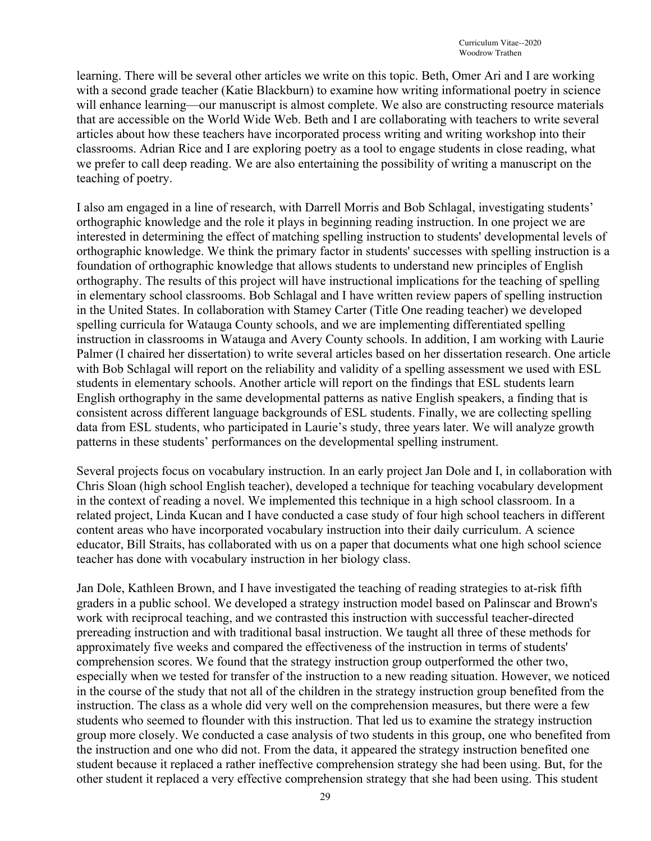learning. There will be several other articles we write on this topic. Beth, Omer Ari and I are working with a second grade teacher (Katie Blackburn) to examine how writing informational poetry in science will enhance learning—our manuscript is almost complete. We also are constructing resource materials that are accessible on the World Wide Web. Beth and I are collaborating with teachers to write several articles about how these teachers have incorporated process writing and writing workshop into their classrooms. Adrian Rice and I are exploring poetry as a tool to engage students in close reading, what we prefer to call deep reading. We are also entertaining the possibility of writing a manuscript on the teaching of poetry.

I also am engaged in a line of research, with Darrell Morris and Bob Schlagal, investigating students' orthographic knowledge and the role it plays in beginning reading instruction. In one project we are interested in determining the effect of matching spelling instruction to students' developmental levels of orthographic knowledge. We think the primary factor in students' successes with spelling instruction is a foundation of orthographic knowledge that allows students to understand new principles of English orthography. The results of this project will have instructional implications for the teaching of spelling in elementary school classrooms. Bob Schlagal and I have written review papers of spelling instruction in the United States. In collaboration with Stamey Carter (Title One reading teacher) we developed spelling curricula for Watauga County schools, and we are implementing differentiated spelling instruction in classrooms in Watauga and Avery County schools. In addition, I am working with Laurie Palmer (I chaired her dissertation) to write several articles based on her dissertation research. One article with Bob Schlagal will report on the reliability and validity of a spelling assessment we used with ESL students in elementary schools. Another article will report on the findings that ESL students learn English orthography in the same developmental patterns as native English speakers, a finding that is consistent across different language backgrounds of ESL students. Finally, we are collecting spelling data from ESL students, who participated in Laurie's study, three years later. We will analyze growth patterns in these students' performances on the developmental spelling instrument.

Several projects focus on vocabulary instruction. In an early project Jan Dole and I, in collaboration with Chris Sloan (high school English teacher), developed a technique for teaching vocabulary development in the context of reading a novel. We implemented this technique in a high school classroom. In a related project, Linda Kucan and I have conducted a case study of four high school teachers in different content areas who have incorporated vocabulary instruction into their daily curriculum. A science educator, Bill Straits, has collaborated with us on a paper that documents what one high school science teacher has done with vocabulary instruction in her biology class.

Jan Dole, Kathleen Brown, and I have investigated the teaching of reading strategies to at-risk fifth graders in a public school. We developed a strategy instruction model based on Palinscar and Brown's work with reciprocal teaching, and we contrasted this instruction with successful teacher-directed prereading instruction and with traditional basal instruction. We taught all three of these methods for approximately five weeks and compared the effectiveness of the instruction in terms of students' comprehension scores. We found that the strategy instruction group outperformed the other two, especially when we tested for transfer of the instruction to a new reading situation. However, we noticed in the course of the study that not all of the children in the strategy instruction group benefited from the instruction. The class as a whole did very well on the comprehension measures, but there were a few students who seemed to flounder with this instruction. That led us to examine the strategy instruction group more closely. We conducted a case analysis of two students in this group, one who benefited from the instruction and one who did not. From the data, it appeared the strategy instruction benefited one student because it replaced a rather ineffective comprehension strategy she had been using. But, for the other student it replaced a very effective comprehension strategy that she had been using. This student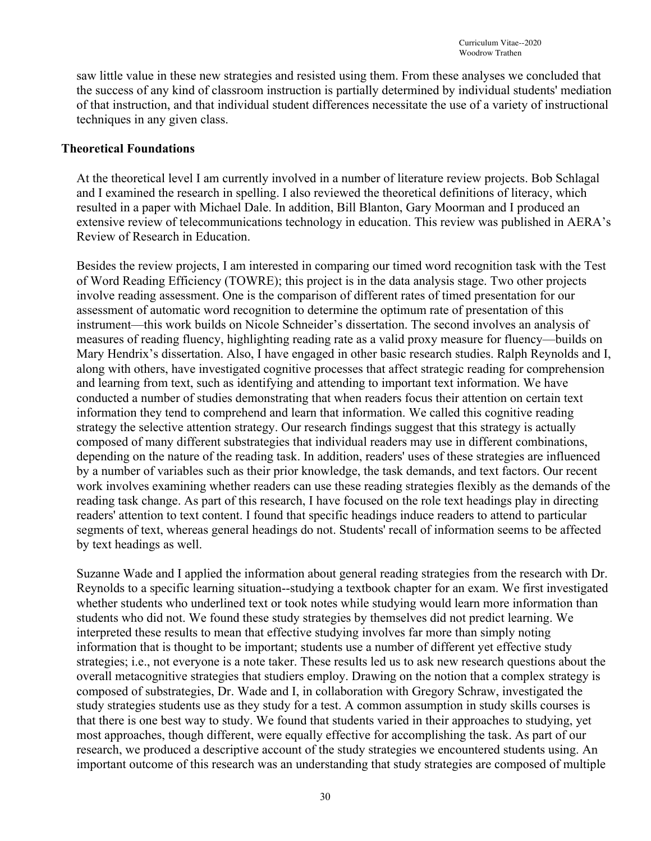saw little value in these new strategies and resisted using them. From these analyses we concluded that the success of any kind of classroom instruction is partially determined by individual students' mediation of that instruction, and that individual student differences necessitate the use of a variety of instructional techniques in any given class.

#### **Theoretical Foundations**

At the theoretical level I am currently involved in a number of literature review projects. Bob Schlagal and I examined the research in spelling. I also reviewed the theoretical definitions of literacy, which resulted in a paper with Michael Dale. In addition, Bill Blanton, Gary Moorman and I produced an extensive review of telecommunications technology in education. This review was published in AERA's Review of Research in Education.

Besides the review projects, I am interested in comparing our timed word recognition task with the Test of Word Reading Efficiency (TOWRE); this project is in the data analysis stage. Two other projects involve reading assessment. One is the comparison of different rates of timed presentation for our assessment of automatic word recognition to determine the optimum rate of presentation of this instrument—this work builds on Nicole Schneider's dissertation. The second involves an analysis of measures of reading fluency, highlighting reading rate as a valid proxy measure for fluency—builds on Mary Hendrix's dissertation. Also, I have engaged in other basic research studies. Ralph Reynolds and I, along with others, have investigated cognitive processes that affect strategic reading for comprehension and learning from text, such as identifying and attending to important text information. We have conducted a number of studies demonstrating that when readers focus their attention on certain text information they tend to comprehend and learn that information. We called this cognitive reading strategy the selective attention strategy. Our research findings suggest that this strategy is actually composed of many different substrategies that individual readers may use in different combinations, depending on the nature of the reading task. In addition, readers' uses of these strategies are influenced by a number of variables such as their prior knowledge, the task demands, and text factors. Our recent work involves examining whether readers can use these reading strategies flexibly as the demands of the reading task change. As part of this research, I have focused on the role text headings play in directing readers' attention to text content. I found that specific headings induce readers to attend to particular segments of text, whereas general headings do not. Students' recall of information seems to be affected by text headings as well.

Suzanne Wade and I applied the information about general reading strategies from the research with Dr. Reynolds to a specific learning situation--studying a textbook chapter for an exam. We first investigated whether students who underlined text or took notes while studying would learn more information than students who did not. We found these study strategies by themselves did not predict learning. We interpreted these results to mean that effective studying involves far more than simply noting information that is thought to be important; students use a number of different yet effective study strategies; i.e., not everyone is a note taker. These results led us to ask new research questions about the overall metacognitive strategies that studiers employ. Drawing on the notion that a complex strategy is composed of substrategies, Dr. Wade and I, in collaboration with Gregory Schraw, investigated the study strategies students use as they study for a test. A common assumption in study skills courses is that there is one best way to study. We found that students varied in their approaches to studying, yet most approaches, though different, were equally effective for accomplishing the task. As part of our research, we produced a descriptive account of the study strategies we encountered students using. An important outcome of this research was an understanding that study strategies are composed of multiple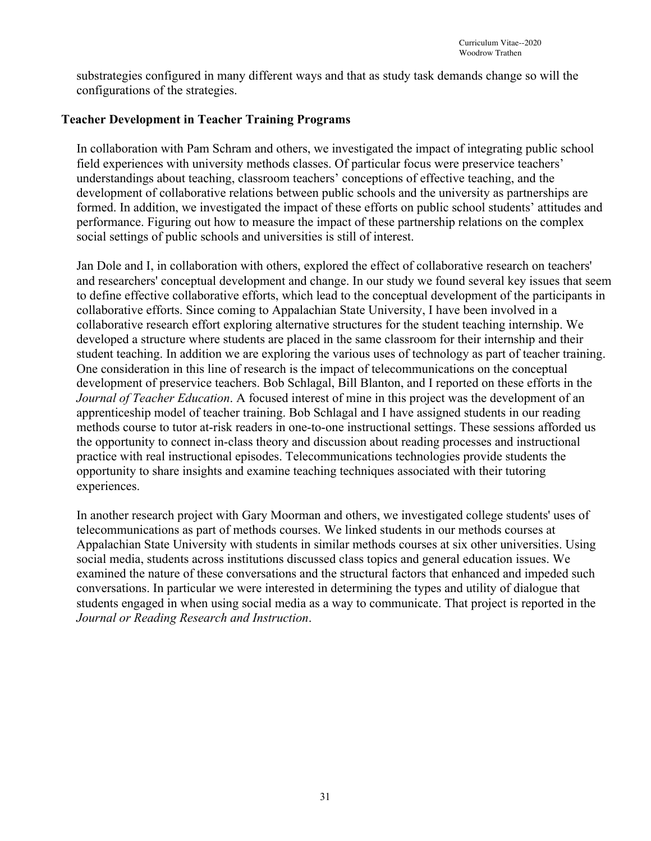substrategies configured in many different ways and that as study task demands change so will the configurations of the strategies.

#### **Teacher Development in Teacher Training Programs**

In collaboration with Pam Schram and others, we investigated the impact of integrating public school field experiences with university methods classes. Of particular focus were preservice teachers' understandings about teaching, classroom teachers' conceptions of effective teaching, and the development of collaborative relations between public schools and the university as partnerships are formed. In addition, we investigated the impact of these efforts on public school students' attitudes and performance. Figuring out how to measure the impact of these partnership relations on the complex social settings of public schools and universities is still of interest.

Jan Dole and I, in collaboration with others, explored the effect of collaborative research on teachers' and researchers' conceptual development and change. In our study we found several key issues that seem to define effective collaborative efforts, which lead to the conceptual development of the participants in collaborative efforts. Since coming to Appalachian State University, I have been involved in a collaborative research effort exploring alternative structures for the student teaching internship. We developed a structure where students are placed in the same classroom for their internship and their student teaching. In addition we are exploring the various uses of technology as part of teacher training. One consideration in this line of research is the impact of telecommunications on the conceptual development of preservice teachers. Bob Schlagal, Bill Blanton, and I reported on these efforts in the *Journal of Teacher Education*. A focused interest of mine in this project was the development of an apprenticeship model of teacher training. Bob Schlagal and I have assigned students in our reading methods course to tutor at-risk readers in one-to-one instructional settings. These sessions afforded us the opportunity to connect in-class theory and discussion about reading processes and instructional practice with real instructional episodes. Telecommunications technologies provide students the opportunity to share insights and examine teaching techniques associated with their tutoring experiences.

In another research project with Gary Moorman and others, we investigated college students' uses of telecommunications as part of methods courses. We linked students in our methods courses at Appalachian State University with students in similar methods courses at six other universities. Using social media, students across institutions discussed class topics and general education issues. We examined the nature of these conversations and the structural factors that enhanced and impeded such conversations. In particular we were interested in determining the types and utility of dialogue that students engaged in when using social media as a way to communicate. That project is reported in the *Journal or Reading Research and Instruction*.